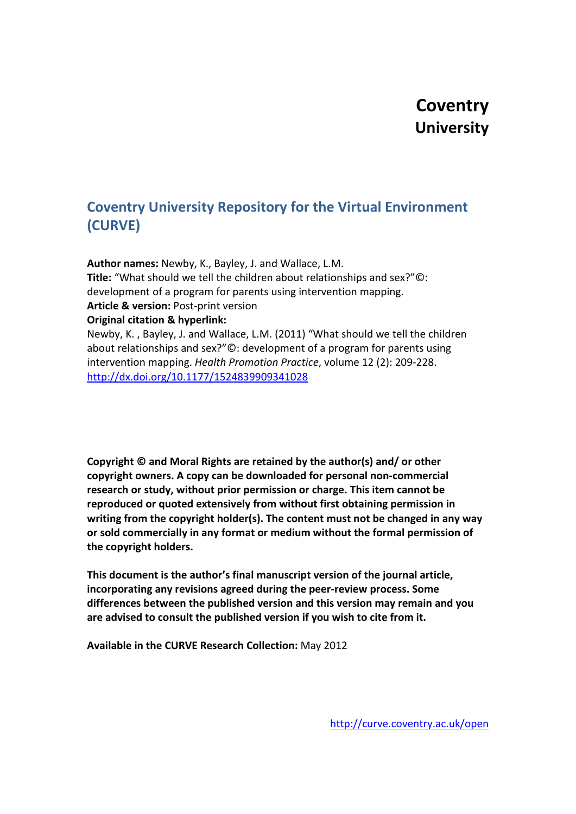# **Coventry University**

# **Coventry University Repository for the Virtual Environment (CURVE)**

**Author names:** Newby, K., Bayley, J. and Wallace, L.M. **Title:** "What should we tell the children about relationships and sex?"©: development of a program for parents using intervention mapping. **Article & version:** Post-print version **Original citation & hyperlink:** Newby, K. , Bayley, J. and Wallace, L.M. (2011) "What should we tell the children about relationships and sex?"©: development of a program for parents using intervention mapping. *Health Promotion Practice*, volume 12 (2): 209-228.

<http://dx.doi.org/10.1177/1524839909341028>

**Copyright © and Moral Rights are retained by the author(s) and/ or other copyright owners. A copy can be downloaded for personal non-commercial research or study, without prior permission or charge. This item cannot be reproduced or quoted extensively from without first obtaining permission in writing from the copyright holder(s). The content must not be changed in any way or sold commercially in any format or medium without the formal permission of the copyright holders.**

**This document is the author's final manuscript version of the journal article, incorporating any revisions agreed during the peer-review process. Some differences between the published version and this version may remain and you are advised to consult the published version if you wish to cite from it.**

**Available in the CURVE Research Collection:** May 2012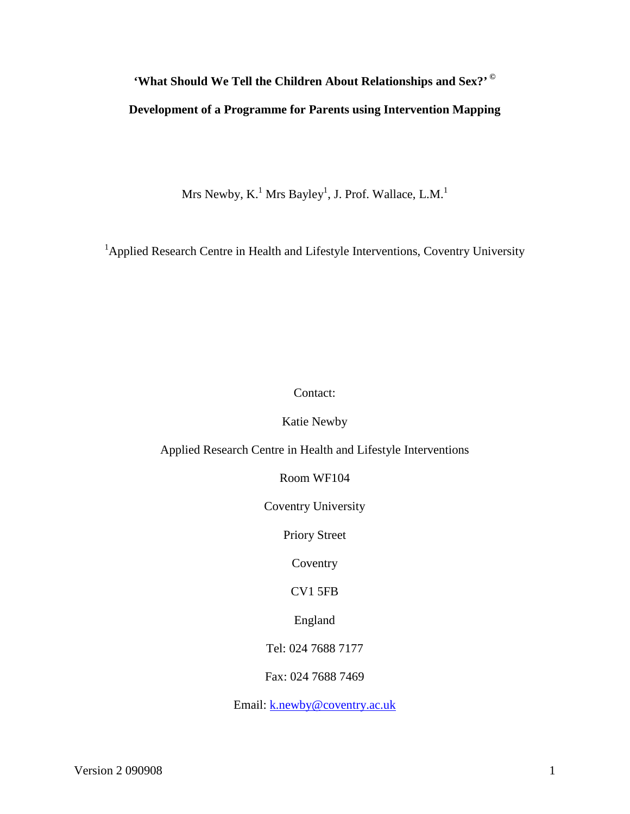# <span id="page-1-0"></span>**'What Should We Tell the Children About Relationships and Sex?' © Development of a Programme for Parents using Intervention Mapping**

Mrs Newby, K. $^{\rm 1}$  Mrs Bayley $^{\rm l}$ , J. Prof. Wallace, L.M. $^{\rm l}$ 

<sup>1</sup>Applied Research Centre in Health and Lifestyle Interventions, Coventry University

# Contact:

Katie Newby

Applied Research Centre in Health and Lifestyle Interventions

Room WF104

Coventry University

Priory Street

**Coventry** 

CV1 5FB

England

Tel: 024 7688 7177

Fax: 024 7688 7469

Email: [k.newby@coventry.ac.uk](mailto:k.newby@coventry.ac.uk)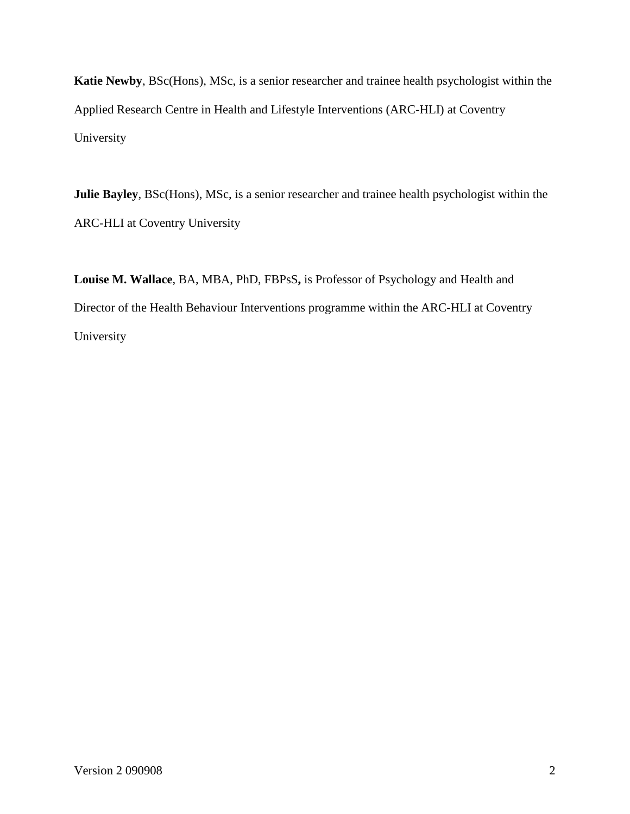**Katie Newby**, BSc(Hons), MSc, is a senior researcher and trainee health psychologist within the Applied Research Centre in Health and Lifestyle Interventions (ARC-HLI) at Coventry University

**Julie Bayley**, BSc(Hons), MSc, is a senior researcher and trainee health psychologist within the ARC-HLI at Coventry University

**Louise M. Wallace**, BA, MBA, PhD, FBPsS**,** is Professor of Psychology and Health and Director of the Health Behaviour Interventions programme within the ARC-HLI at Coventry University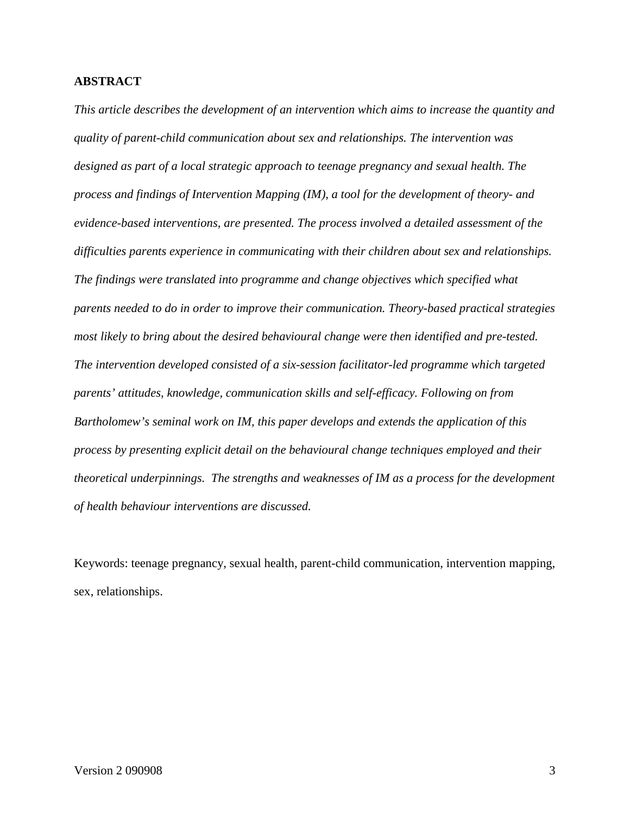#### **ABSTRACT**

*This article describes the development of an intervention which aims to increase the quantity and quality of parent-child communication about sex and relationships. The intervention was designed as part of a local strategic approach to teenage pregnancy and sexual health. The process and findings of Intervention Mapping (IM), a tool for the development of theory- and evidence-based interventions, are presented. The process involved a detailed assessment of the difficulties parents experience in communicating with their children about sex and relationships. The findings were translated into programme and change objectives which specified what parents needed to do in order to improve their communication. Theory-based practical strategies most likely to bring about the desired behavioural change were then identified and pre-tested. The intervention developed consisted of a six-session facilitator-led programme which targeted parents' attitudes, knowledge, communication skills and self-efficacy. Following on from Bartholomew's seminal work on IM, this paper develops and extends the application of this process by presenting explicit detail on the behavioural change techniques employed and their theoretical underpinnings. The strengths and weaknesses of IM as a process for the development of health behaviour interventions are discussed.* 

Keywords: teenage pregnancy, sexual health, parent-child communication, intervention mapping, sex, relationships.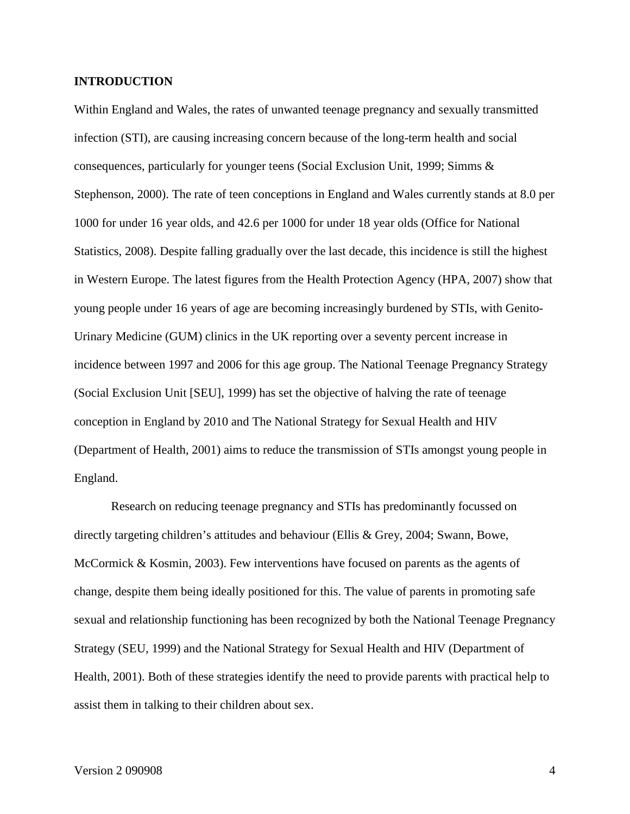#### **INTRODUCTION**

Within England and Wales, the rates of unwanted teenage pregnancy and sexually transmitted infection (STI), are causing increasing concern because of the long-term health and social consequences, particularly for younger teens (Social Exclusion Unit, 1999; Simms & Stephenson, 2000). The rate of teen conceptions in England and Wales currently stands at 8.0 per 1000 for under 16 year olds, and 42.6 per 1000 for under 18 year olds (Office for National Statistics, 2008). Despite falling gradually over the last decade, this incidence is still the highest in Western Europe. The latest figures from the Health Protection Agency (HPA, 2007) show that young people under 16 years of age are becoming increasingly burdened by STIs, with Genito-Urinary Medicine (GUM) clinics in the UK reporting over a seventy percent increase in incidence between 1997 and 2006 for this age group. The National Teenage Pregnancy Strategy (Social Exclusion Unit [SEU], 1999) has set the objective of halving the rate of teenage conception in England by 2010 and The National Strategy for Sexual Health and HIV (Department of Health, 2001) aims to reduce the transmission of STIs amongst young people in England.

Research on reducing teenage pregnancy and STIs has predominantly focussed on directly targeting children's attitudes and behaviour (Ellis & Grey, 2004; Swann, Bowe, McCormick & Kosmin, 2003). Few interventions have focused on parents as the agents of change, despite them being ideally positioned for this. The value of parents in promoting safe sexual and relationship functioning has been recognized by both the National Teenage Pregnancy Strategy (SEU, 1999) and the National Strategy for Sexual Health and HIV (Department of Health, 2001). Both of these strategies identify the need to provide parents with practical help to assist them in talking to their children about sex.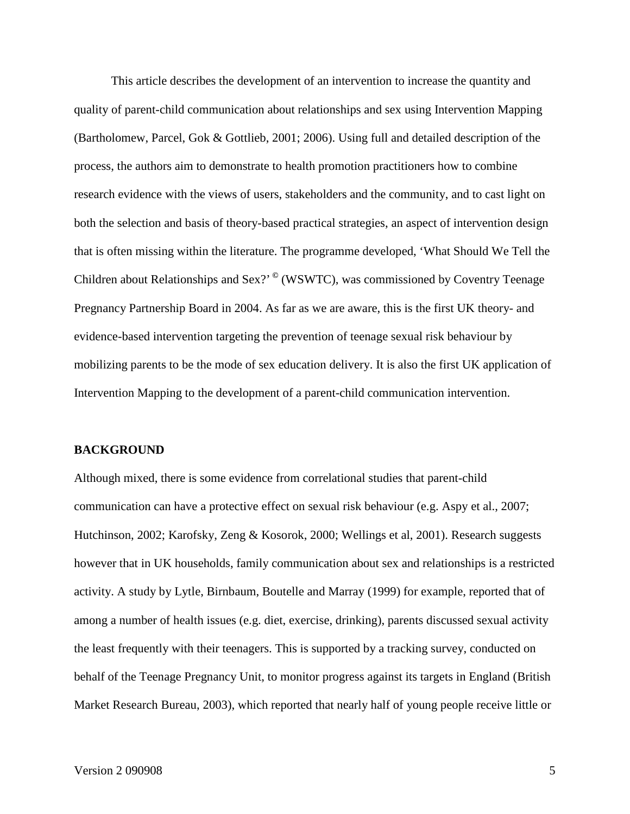This article describes the development of an intervention to increase the quantity and quality of parent-child communication about relationships and sex using Intervention Mapping (Bartholomew, Parcel, Gok & Gottlieb, 2001; 2006). Using full and detailed description of the process, the authors aim to demonstrate to health promotion practitioners how to combine research evidence with the views of users, stakeholders and the community, and to cast light on both the selection and basis of theory-based practical strategies, an aspect of intervention design that is often missing within the literature. The programme developed, 'What Should We Tell the Children about Relationships and Sex?' **©** (WSWTC), was commissioned by Coventry Teenage Pregnancy Partnership Board in 2004. As far as we are aware, this is the first UK theory- and evidence-based intervention targeting the prevention of teenage sexual risk behaviour by mobilizing parents to be the mode of sex education delivery. It is also the first UK application of Intervention Mapping to the development of a parent-child communication intervention.

#### **BACKGROUND**

Although mixed, there is some evidence from correlational studies that parent-child communication can have a protective effect on sexual risk behaviour (e.g. Aspy et al., 2007; Hutchinson, 2002; Karofsky, Zeng & Kosorok, 2000; Wellings et al, 2001). Research suggests however that in UK households, family communication about sex and relationships is a restricted activity. A study by Lytle, Birnbaum, Boutelle and Marray (1999) for example, reported that of among a number of health issues (e.g. diet, exercise, drinking), parents discussed sexual activity the least frequently with their teenagers. This is supported by a tracking survey, conducted on behalf of the Teenage Pregnancy Unit, to monitor progress against its targets in England (British Market Research Bureau, 2003), which reported that nearly half of young people receive little or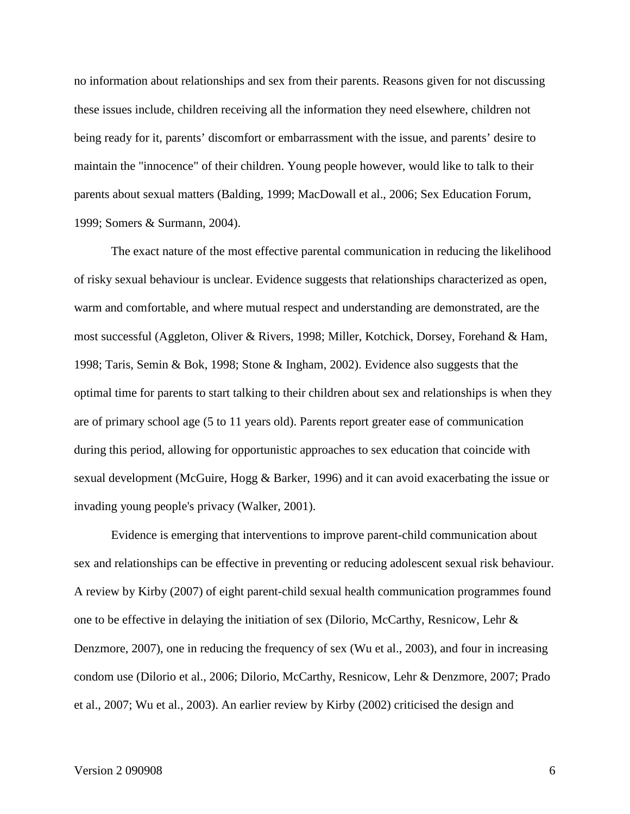no information about relationships and sex from their parents. Reasons given for not discussing these issues include, children receiving all the information they need elsewhere, children not being ready for it, parents' discomfort or embarrassment with the issue, and parents' desire to maintain the "innocence" of their children. Young people however, would like to talk to their parents about sexual matters (Balding, 1999; MacDowall et al., 2006; Sex Education Forum, 1999; Somers & Surmann, 2004).

The exact nature of the most effective parental communication in reducing the likelihood of risky sexual behaviour is unclear. Evidence suggests that relationships characterized as open, warm and comfortable, and where mutual respect and understanding are demonstrated, are the most successful (Aggleton, Oliver & Rivers, 1998; Miller, Kotchick, Dorsey, Forehand & Ham, 1998; Taris, Semin & Bok, 1998; Stone & Ingham, 2002). Evidence also suggests that the optimal time for parents to start talking to their children about sex and relationships is when they are of primary school age (5 to 11 years old). Parents report greater ease of communication during this period, allowing for opportunistic approaches to sex education that coincide with sexual development (McGuire, Hogg & Barker, 1996) and it can avoid exacerbating the issue or invading young people's privacy (Walker, 2001).

Evidence is emerging that interventions to improve parent-child communication about sex and relationships can be effective in preventing or reducing adolescent sexual risk behaviour. A review by Kirby (2007) of eight parent-child sexual health communication programmes found one to be effective in delaying the initiation of sex (Dilorio, McCarthy, Resnicow, Lehr & Denzmore, 2007), one in reducing the frequency of sex (Wu et al., 2003), and four in increasing condom use (Dilorio et al., 2006; Dilorio, McCarthy, Resnicow, Lehr & Denzmore, 2007; Prado et al., 2007; Wu et al., 2003). An earlier review by Kirby (2002) criticised the design and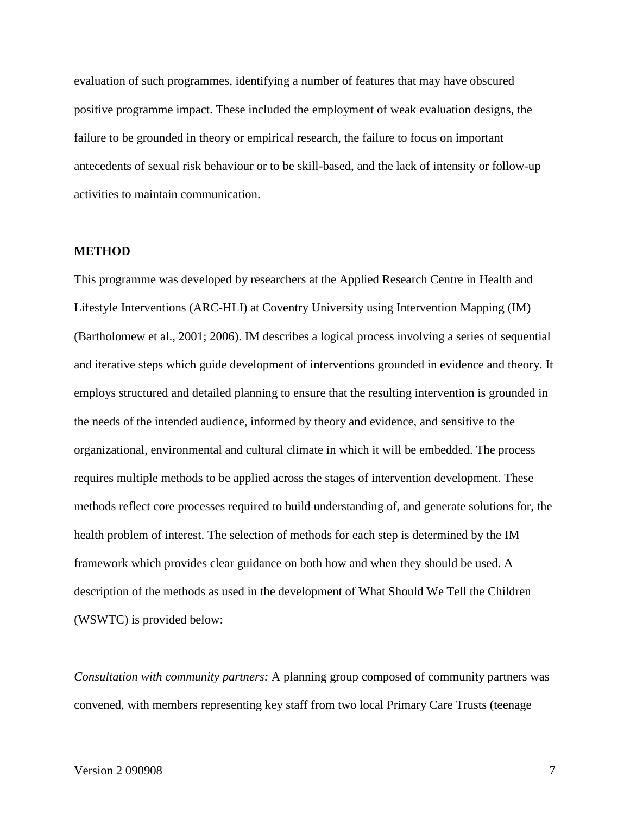evaluation of such programmes, identifying a number of features that may have obscured positive programme impact. These included the employment of weak evaluation designs, the failure to be grounded in theory or empirical research, the failure to focus on important antecedents of sexual risk behaviour or to be skill-based, and the lack of intensity or follow-up activities to maintain communication.

#### **METHOD**

This programme was developed by researchers at the Applied Research Centre in Health and Lifestyle Interventions (ARC-HLI) at Coventry University using Intervention Mapping (IM) (Bartholomew et al., 2001; 2006). IM describes a logical process involving a series of sequential and iterative steps which guide development of interventions grounded in evidence and theory. It employs structured and detailed planning to ensure that the resulting intervention is grounded in the needs of the intended audience, informed by theory and evidence, and sensitive to the organizational, environmental and cultural climate in which it will be embedded. The process requires multiple methods to be applied across the stages of intervention development. These methods reflect core processes required to build understanding of, and generate solutions for, the health problem of interest. The selection of methods for each step is determined by the IM framework which provides clear guidance on both how and when they should be used. A description of the methods as used in the development of What Should We Tell the Children (WSWTC) is provided below:

*Consultation with community partners:* A planning group composed of community partners was convened, with members representing key staff from two local Primary Care Trusts (teenage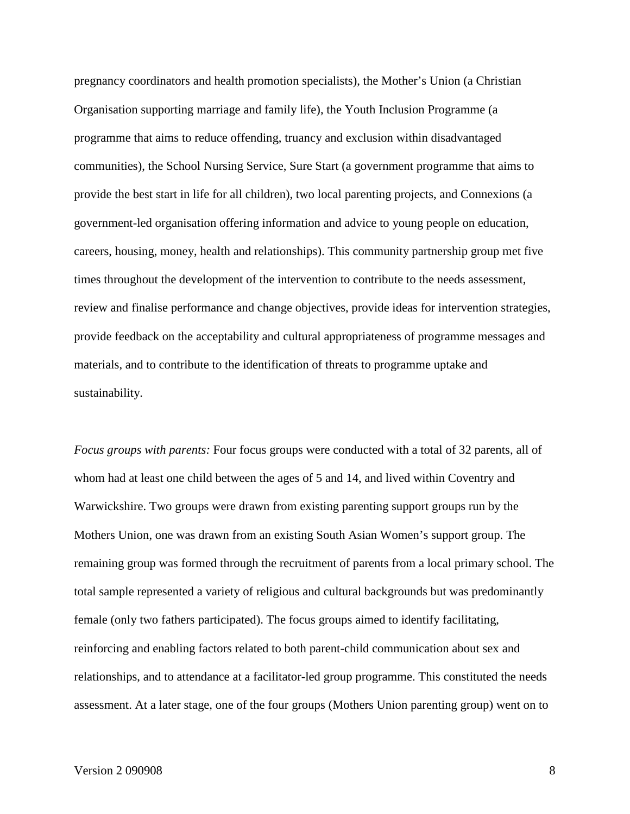pregnancy coordinators and health promotion specialists), the Mother's Union (a Christian Organisation supporting marriage and family life), the Youth Inclusion Programme (a programme that aims to reduce offending, truancy and exclusion within disadvantaged communities), the School Nursing Service, Sure Start (a government programme that aims to provide the best start in life for all children), two local parenting projects, and Connexions (a government-led organisation offering information and advice to young people on education, careers, housing, money, health and relationships). This community partnership group met five times throughout the development of the intervention to contribute to the needs assessment, review and finalise performance and change objectives, provide ideas for intervention strategies, provide feedback on the acceptability and cultural appropriateness of programme messages and materials, and to contribute to the identification of threats to programme uptake and sustainability.

*Focus groups with parents:* Four focus groups were conducted with a total of 32 parents, all of whom had at least one child between the ages of 5 and 14, and lived within Coventry and Warwickshire. Two groups were drawn from existing parenting support groups run by the Mothers Union, one was drawn from an existing South Asian Women's support group. The remaining group was formed through the recruitment of parents from a local primary school. The total sample represented a variety of religious and cultural backgrounds but was predominantly female (only two fathers participated). The focus groups aimed to identify facilitating, reinforcing and enabling factors related to both parent-child communication about sex and relationships, and to attendance at a facilitator-led group programme. This constituted the needs assessment. At a later stage, one of the four groups (Mothers Union parenting group) went on to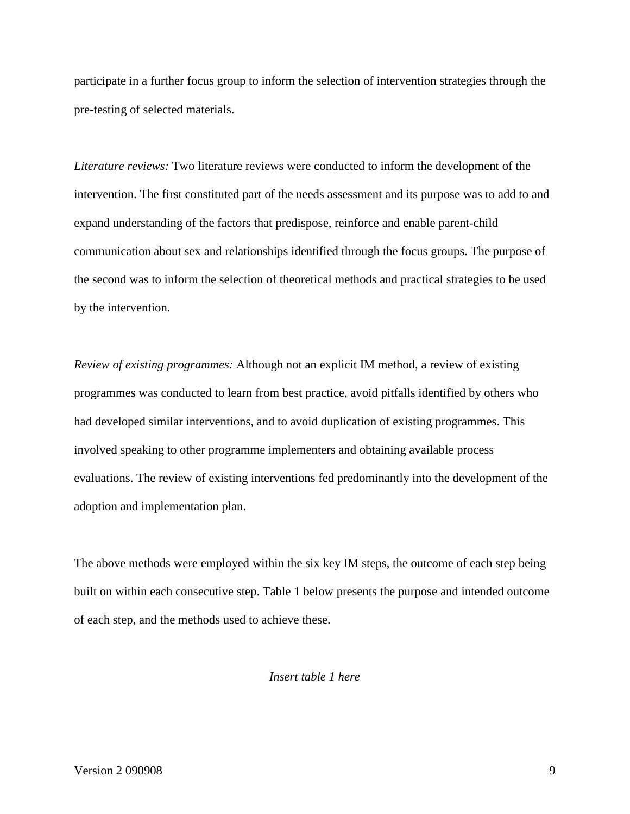participate in a further focus group to inform the selection of intervention strategies through the pre-testing of selected materials.

*Literature reviews:* Two literature reviews were conducted to inform the development of the intervention. The first constituted part of the needs assessment and its purpose was to add to and expand understanding of the factors that predispose, reinforce and enable parent-child communication about sex and relationships identified through the focus groups. The purpose of the second was to inform the selection of theoretical methods and practical strategies to be used by the intervention.

*Review of existing programmes:* Although not an explicit IM method, a review of existing programmes was conducted to learn from best practice, avoid pitfalls identified by others who had developed similar interventions, and to avoid duplication of existing programmes. This involved speaking to other programme implementers and obtaining available process evaluations. The review of existing interventions fed predominantly into the development of the adoption and implementation plan.

The above methods were employed within the six key IM steps, the outcome of each step being built on within each consecutive step. Table 1 below presents the purpose and intended outcome of each step, and the methods used to achieve these.

*Insert table 1 here*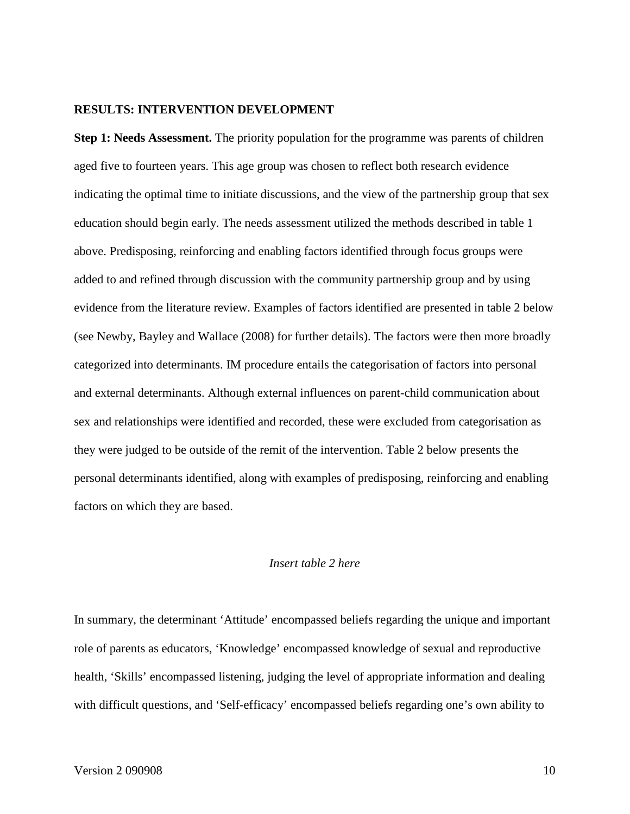#### **RESULTS: INTERVENTION DEVELOPMENT**

**Step 1: Needs Assessment.** The priority population for the programme was parents of children aged five to fourteen years. This age group was chosen to reflect both research evidence indicating the optimal time to initiate discussions, and the view of the partnership group that sex education should begin early. The needs assessment utilized the methods described in table 1 above. Predisposing, reinforcing and enabling factors identified through focus groups were added to and refined through discussion with the community partnership group and by using evidence from the literature review. Examples of factors identified are presented in table 2 below (see Newby, Bayley and Wallace (2008) for further details). The factors were then more broadly categorized into determinants. IM procedure entails the categorisation of factors into personal and external determinants. Although external influences on parent-child communication about sex and relationships were identified and recorded, these were excluded from categorisation as they were judged to be outside of the remit of the intervention. Table 2 below presents the personal determinants identified, along with examples of predisposing, reinforcing and enabling factors on which they are based.

#### *Insert table 2 here*

In summary, the determinant 'Attitude' encompassed beliefs regarding the unique and important role of parents as educators, 'Knowledge' encompassed knowledge of sexual and reproductive health, 'Skills' encompassed listening, judging the level of appropriate information and dealing with difficult questions, and 'Self-efficacy' encompassed beliefs regarding one's own ability to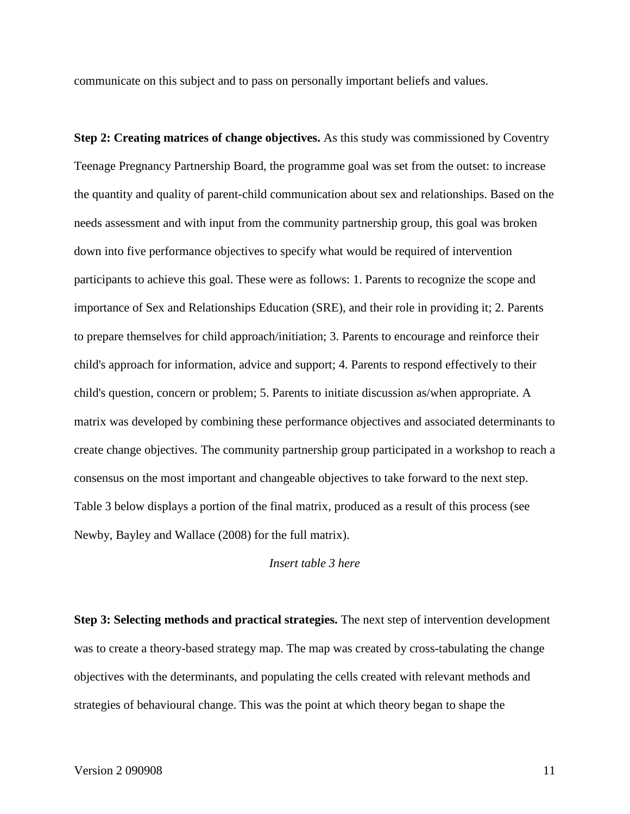communicate on this subject and to pass on personally important beliefs and values.

**Step 2: Creating matrices of change objectives.** As this study was commissioned by Coventry Teenage Pregnancy Partnership Board, the programme goal was set from the outset: to increase the quantity and quality of parent-child communication about sex and relationships. Based on the needs assessment and with input from the community partnership group, this goal was broken down into five performance objectives to specify what would be required of intervention participants to achieve this goal. These were as follows: 1. Parents to recognize the scope and importance of Sex and Relationships Education (SRE), and their role in providing it; 2. Parents to prepare themselves for child approach/initiation; 3. Parents to encourage and reinforce their child's approach for information, advice and support; 4. Parents to respond effectively to their child's question, concern or problem; 5. Parents to initiate discussion as/when appropriate. A matrix was developed by combining these performance objectives and associated determinants to create change objectives. The community partnership group participated in a workshop to reach a consensus on the most important and changeable objectives to take forward to the next step. Table 3 below displays a portion of the final matrix, produced as a result of this process (see Newby, Bayley and Wallace (2008) for the full matrix).

#### *Insert table 3 here*

**Step 3: Selecting methods and practical strategies.** The next step of intervention development was to create a theory-based strategy map. The map was created by cross-tabulating the change objectives with the determinants, and populating the cells created with relevant methods and strategies of behavioural change. This was the point at which theory began to shape the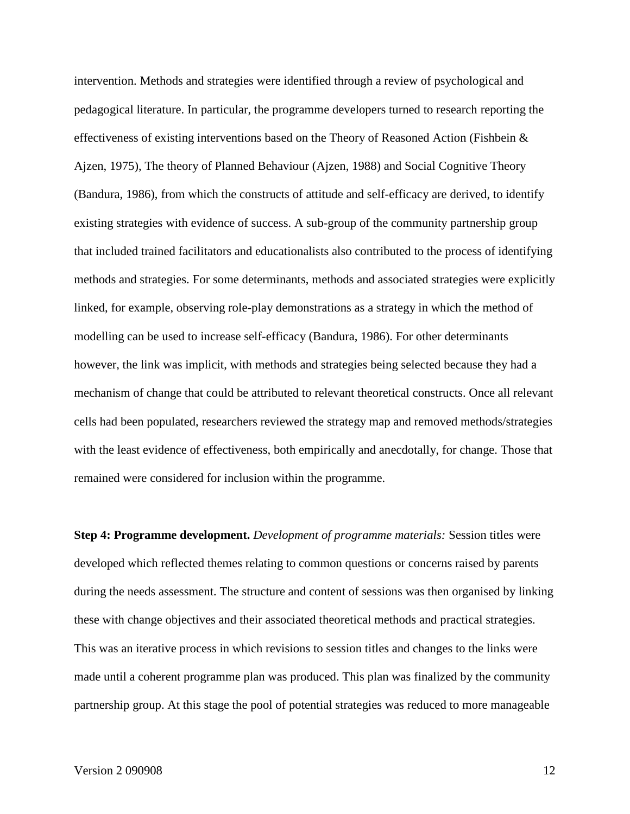intervention. Methods and strategies were identified through a review of psychological and pedagogical literature. In particular, the programme developers turned to research reporting the effectiveness of existing interventions based on the Theory of Reasoned Action (Fishbein & Ajzen, 1975), The theory of Planned Behaviour (Ajzen, 1988) and Social Cognitive Theory (Bandura, 1986), from which the constructs of attitude and self-efficacy are derived, to identify existing strategies with evidence of success. A sub-group of the community partnership group that included trained facilitators and educationalists also contributed to the process of identifying methods and strategies. For some determinants, methods and associated strategies were explicitly linked, for example, observing role-play demonstrations as a strategy in which the method of modelling can be used to increase self-efficacy (Bandura, 1986). For other determinants however, the link was implicit, with methods and strategies being selected because they had a mechanism of change that could be attributed to relevant theoretical constructs. Once all relevant cells had been populated, researchers reviewed the strategy map and removed methods/strategies with the least evidence of effectiveness, both empirically and anecdotally, for change. Those that remained were considered for inclusion within the programme.

**Step 4: Programme development.** *Development of programme materials:* Session titles were developed which reflected themes relating to common questions or concerns raised by parents during the needs assessment. The structure and content of sessions was then organised by linking these with change objectives and their associated theoretical methods and practical strategies. This was an iterative process in which revisions to session titles and changes to the links were made until a coherent programme plan was produced. This plan was finalized by the community partnership group. At this stage the pool of potential strategies was reduced to more manageable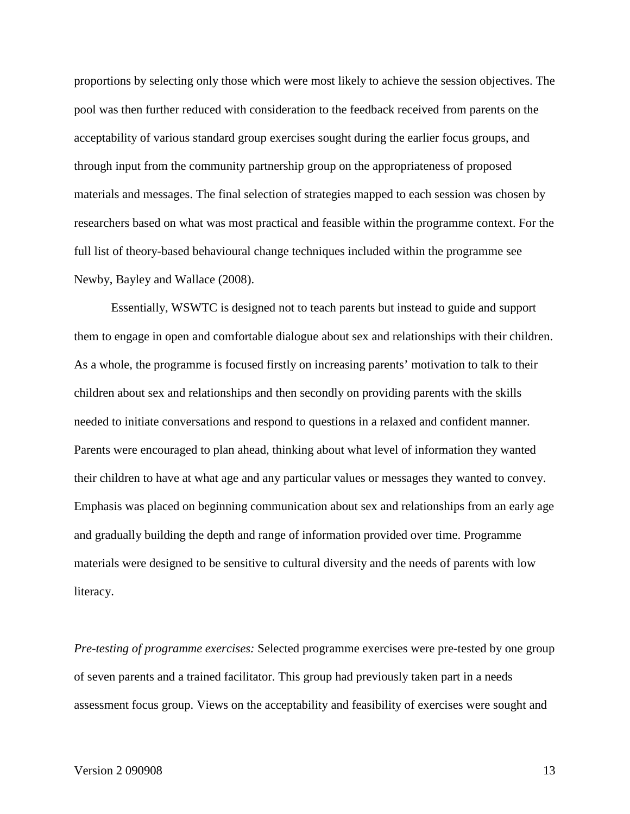proportions by selecting only those which were most likely to achieve the session objectives. The pool was then further reduced with consideration to the feedback received from parents on the acceptability of various standard group exercises sought during the earlier focus groups, and through input from the community partnership group on the appropriateness of proposed materials and messages. The final selection of strategies mapped to each session was chosen by researchers based on what was most practical and feasible within the programme context. For the full list of theory-based behavioural change techniques included within the programme see Newby, Bayley and Wallace (2008).

Essentially, WSWTC is designed not to teach parents but instead to guide and support them to engage in open and comfortable dialogue about sex and relationships with their children. As a whole, the programme is focused firstly on increasing parents' motivation to talk to their children about sex and relationships and then secondly on providing parents with the skills needed to initiate conversations and respond to questions in a relaxed and confident manner. Parents were encouraged to plan ahead, thinking about what level of information they wanted their children to have at what age and any particular values or messages they wanted to convey. Emphasis was placed on beginning communication about sex and relationships from an early age and gradually building the depth and range of information provided over time. Programme materials were designed to be sensitive to cultural diversity and the needs of parents with low literacy.

*Pre-testing of programme exercises:* Selected programme exercises were pre-tested by one group of seven parents and a trained facilitator. This group had previously taken part in a needs assessment focus group. Views on the acceptability and feasibility of exercises were sought and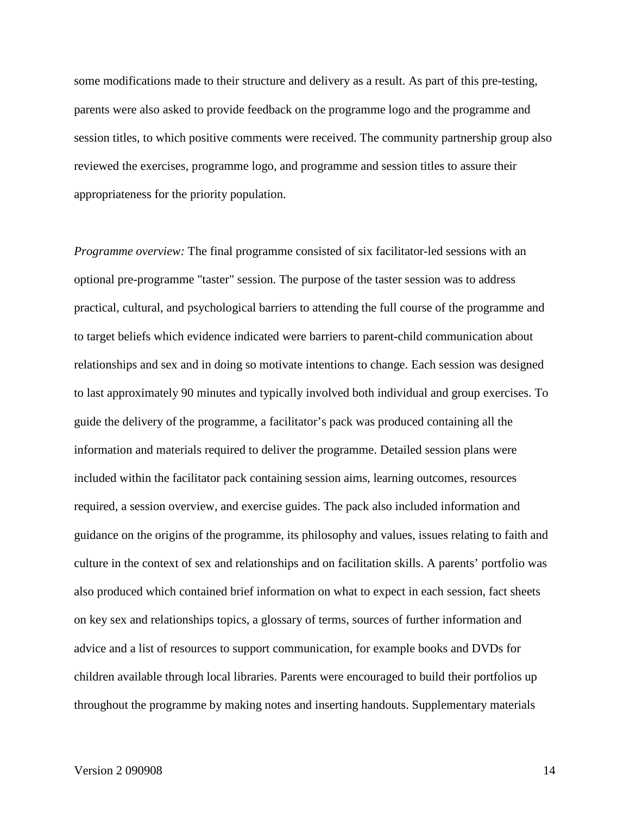some modifications made to their structure and delivery as a result. As part of this pre-testing, parents were also asked to provide feedback on the programme logo and the programme and session titles, to which positive comments were received. The community partnership group also reviewed the exercises, programme logo, and programme and session titles to assure their appropriateness for the priority population.

*Programme overview:* The final programme consisted of six facilitator-led sessions with an optional pre-programme "taster" session. The purpose of the taster session was to address practical, cultural, and psychological barriers to attending the full course of the programme and to target beliefs which evidence indicated were barriers to parent-child communication about relationships and sex and in doing so motivate intentions to change. Each session was designed to last approximately 90 minutes and typically involved both individual and group exercises. To guide the delivery of the programme, a facilitator's pack was produced containing all the information and materials required to deliver the programme. Detailed session plans were included within the facilitator pack containing session aims, learning outcomes, resources required, a session overview, and exercise guides. The pack also included information and guidance on the origins of the programme, its philosophy and values, issues relating to faith and culture in the context of sex and relationships and on facilitation skills. A parents' portfolio was also produced which contained brief information on what to expect in each session, fact sheets on key sex and relationships topics, a glossary of terms, sources of further information and advice and a list of resources to support communication, for example books and DVDs for children available through local libraries. Parents were encouraged to build their portfolios up throughout the programme by making notes and inserting handouts. Supplementary materials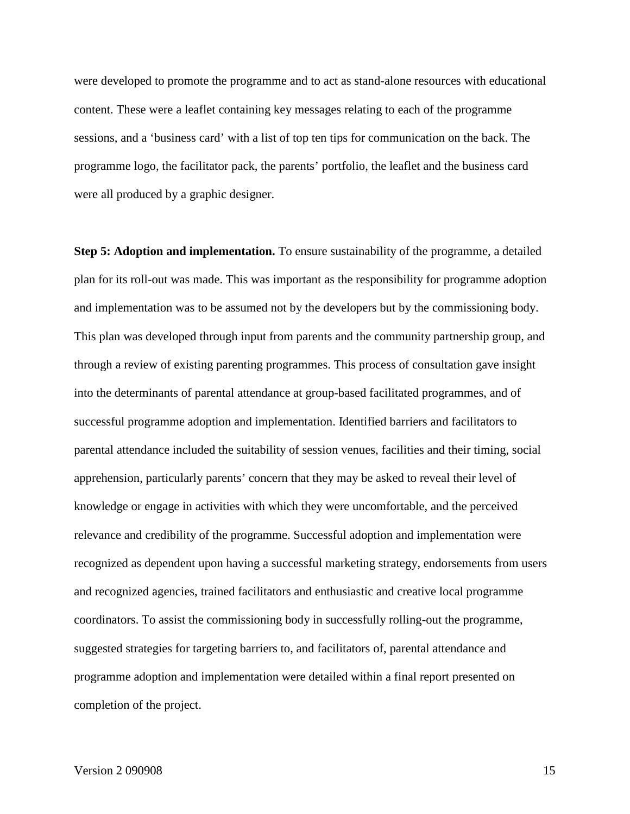were developed to promote the programme and to act as stand-alone resources with educational content. These were a leaflet containing key messages relating to each of the programme sessions, and a 'business card' with a list of top ten tips for communication on the back. The programme logo, the facilitator pack, the parents' portfolio, the leaflet and the business card were all produced by a graphic designer.

**Step 5: Adoption and implementation.** To ensure sustainability of the programme, a detailed plan for its roll-out was made. This was important as the responsibility for programme adoption and implementation was to be assumed not by the developers but by the commissioning body. This plan was developed through input from parents and the community partnership group, and through a review of existing parenting programmes. This process of consultation gave insight into the determinants of parental attendance at group-based facilitated programmes, and of successful programme adoption and implementation. Identified barriers and facilitators to parental attendance included the suitability of session venues, facilities and their timing, social apprehension, particularly parents' concern that they may be asked to reveal their level of knowledge or engage in activities with which they were uncomfortable, and the perceived relevance and credibility of the programme. Successful adoption and implementation were recognized as dependent upon having a successful marketing strategy, endorsements from users and recognized agencies, trained facilitators and enthusiastic and creative local programme coordinators. To assist the commissioning body in successfully rolling-out the programme, suggested strategies for targeting barriers to, and facilitators of, parental attendance and programme adoption and implementation were detailed within a final report presented on completion of the project.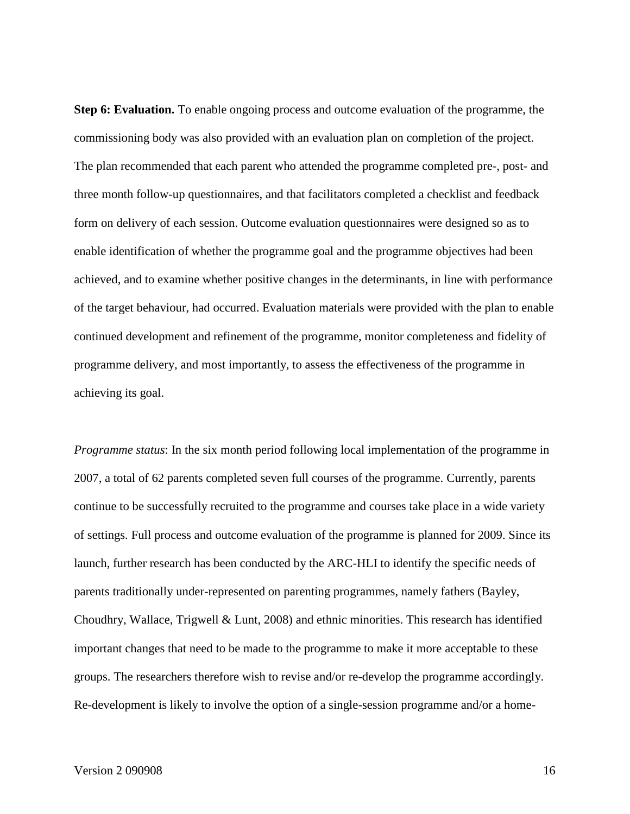**Step 6: Evaluation.** To enable ongoing process and outcome evaluation of the programme, the commissioning body was also provided with an evaluation plan on completion of the project. The plan recommended that each parent who attended the programme completed pre-, post- and three month follow-up questionnaires, and that facilitators completed a checklist and feedback form on delivery of each session. Outcome evaluation questionnaires were designed so as to enable identification of whether the programme goal and the programme objectives had been achieved, and to examine whether positive changes in the determinants, in line with performance of the target behaviour, had occurred. Evaluation materials were provided with the plan to enable continued development and refinement of the programme, monitor completeness and fidelity of programme delivery, and most importantly, to assess the effectiveness of the programme in achieving its goal.

*Programme status*: In the six month period following local implementation of the programme in 2007, a total of 62 parents completed seven full courses of the programme. Currently, parents continue to be successfully recruited to the programme and courses take place in a wide variety of settings. Full process and outcome evaluation of the programme is planned for 2009. Since its launch, further research has been conducted by the ARC-HLI to identify the specific needs of parents traditionally under-represented on parenting programmes, namely fathers (Bayley, Choudhry, Wallace, Trigwell & Lunt, 2008) and ethnic minorities. This research has identified important changes that need to be made to the programme to make it more acceptable to these groups. The researchers therefore wish to revise and/or re-develop the programme accordingly. Re-development is likely to involve the option of a single-session programme and/or a home-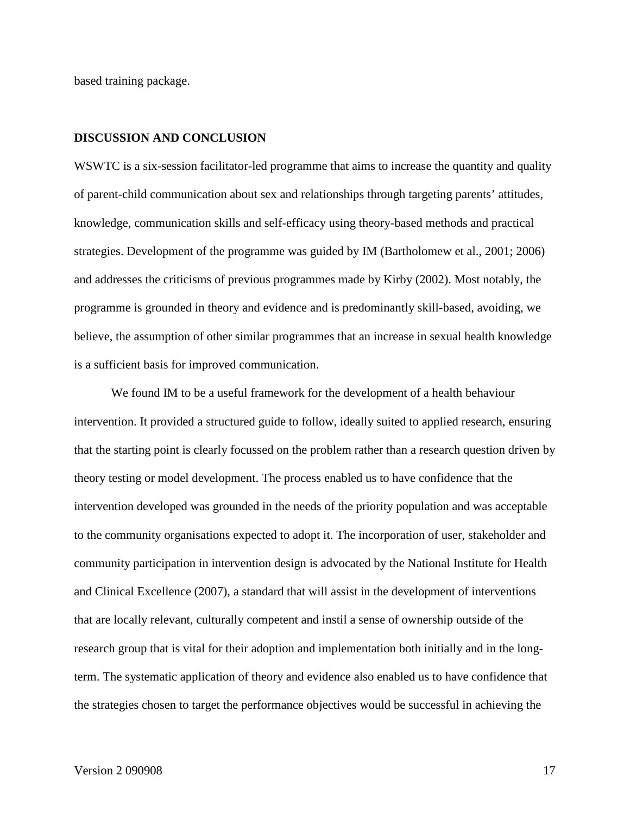based training package.

#### **DISCUSSION AND CONCLUSION**

WSWTC is a six-session facilitator-led programme that aims to increase the quantity and quality of parent-child communication about sex and relationships through targeting parents' attitudes, knowledge, communication skills and self-efficacy using theory-based methods and practical strategies. Development of the programme was guided by IM (Bartholomew et al., 2001; 2006) and addresses the criticisms of previous programmes made by Kirby (2002). Most notably, the programme is grounded in theory and evidence and is predominantly skill-based, avoiding, we believe, the assumption of other similar programmes that an increase in sexual health knowledge is a sufficient basis for improved communication.

We found IM to be a useful framework for the development of a health behaviour intervention. It provided a structured guide to follow, ideally suited to applied research, ensuring that the starting point is clearly focussed on the problem rather than a research question driven by theory testing or model development. The process enabled us to have confidence that the intervention developed was grounded in the needs of the priority population and was acceptable to the community organisations expected to adopt it. The incorporation of user, stakeholder and community participation in intervention design is advocated by the National Institute for Health and Clinical Excellence (2007), a standard that will assist in the development of interventions that are locally relevant, culturally competent and instil a sense of ownership outside of the research group that is vital for their adoption and implementation both initially and in the longterm. The systematic application of theory and evidence also enabled us to have confidence that the strategies chosen to target the performance objectives would be successful in achieving the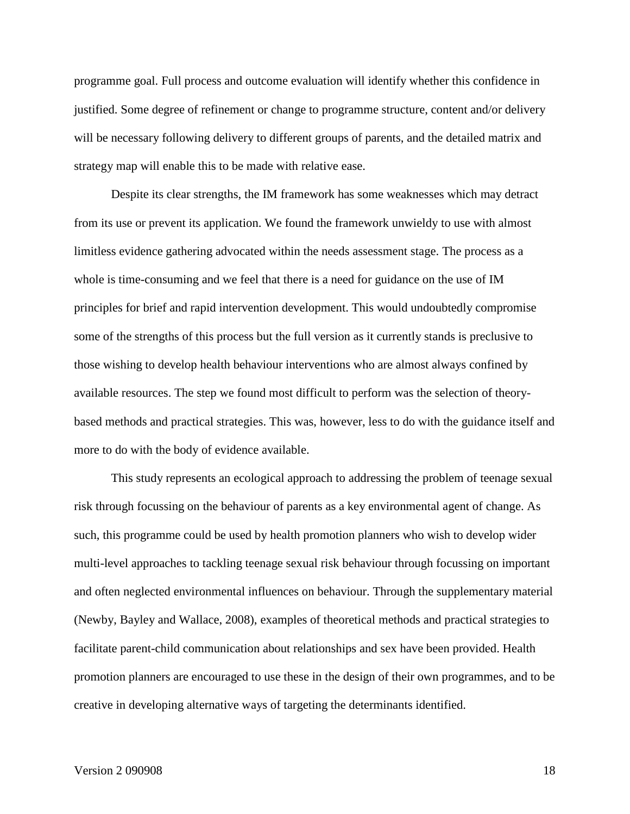programme goal. Full process and outcome evaluation will identify whether this confidence in justified. Some degree of refinement or change to programme structure, content and/or delivery will be necessary following delivery to different groups of parents, and the detailed matrix and strategy map will enable this to be made with relative ease.

Despite its clear strengths, the IM framework has some weaknesses which may detract from its use or prevent its application. We found the framework unwieldy to use with almost limitless evidence gathering advocated within the needs assessment stage. The process as a whole is time-consuming and we feel that there is a need for guidance on the use of IM principles for brief and rapid intervention development. This would undoubtedly compromise some of the strengths of this process but the full version as it currently stands is preclusive to those wishing to develop health behaviour interventions who are almost always confined by available resources. The step we found most difficult to perform was the selection of theorybased methods and practical strategies. This was, however, less to do with the guidance itself and more to do with the body of evidence available.

This study represents an ecological approach to addressing the problem of teenage sexual risk through focussing on the behaviour of parents as a key environmental agent of change. As such, this programme could be used by health promotion planners who wish to develop wider multi-level approaches to tackling teenage sexual risk behaviour through focussing on important and often neglected environmental influences on behaviour. Through the supplementary material (Newby, Bayley and Wallace, 2008), examples of theoretical methods and practical strategies to facilitate parent-child communication about relationships and sex have been provided. Health promotion planners are encouraged to use these in the design of their own programmes, and to be creative in developing alternative ways of targeting the determinants identified.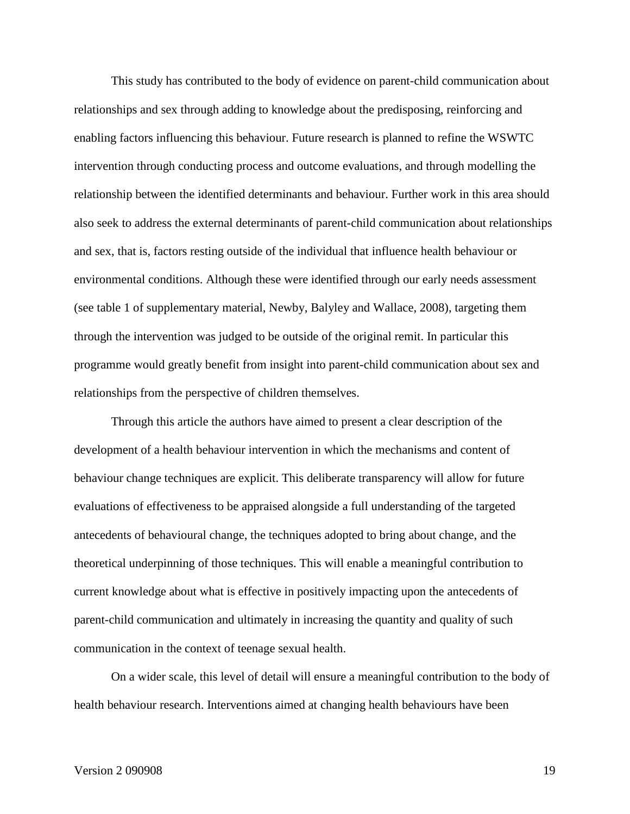This study has contributed to the body of evidence on parent-child communication about relationships and sex through adding to knowledge about the predisposing, reinforcing and enabling factors influencing this behaviour. Future research is planned to refine the WSWTC intervention through conducting process and outcome evaluations, and through modelling the relationship between the identified determinants and behaviour. Further work in this area should also seek to address the external determinants of parent-child communication about relationships and sex, that is, factors resting outside of the individual that influence health behaviour or environmental conditions. Although these were identified through our early needs assessment (see table 1 of supplementary material, Newby, Balyley and Wallace, 2008), targeting them through the intervention was judged to be outside of the original remit. In particular this programme would greatly benefit from insight into parent-child communication about sex and relationships from the perspective of children themselves.

Through this article the authors have aimed to present a clear description of the development of a health behaviour intervention in which the mechanisms and content of behaviour change techniques are explicit. This deliberate transparency will allow for future evaluations of effectiveness to be appraised alongside a full understanding of the targeted antecedents of behavioural change, the techniques adopted to bring about change, and the theoretical underpinning of those techniques. This will enable a meaningful contribution to current knowledge about what is effective in positively impacting upon the antecedents of parent-child communication and ultimately in increasing the quantity and quality of such communication in the context of teenage sexual health.

On a wider scale, this level of detail will ensure a meaningful contribution to the body of health behaviour research. Interventions aimed at changing health behaviours have been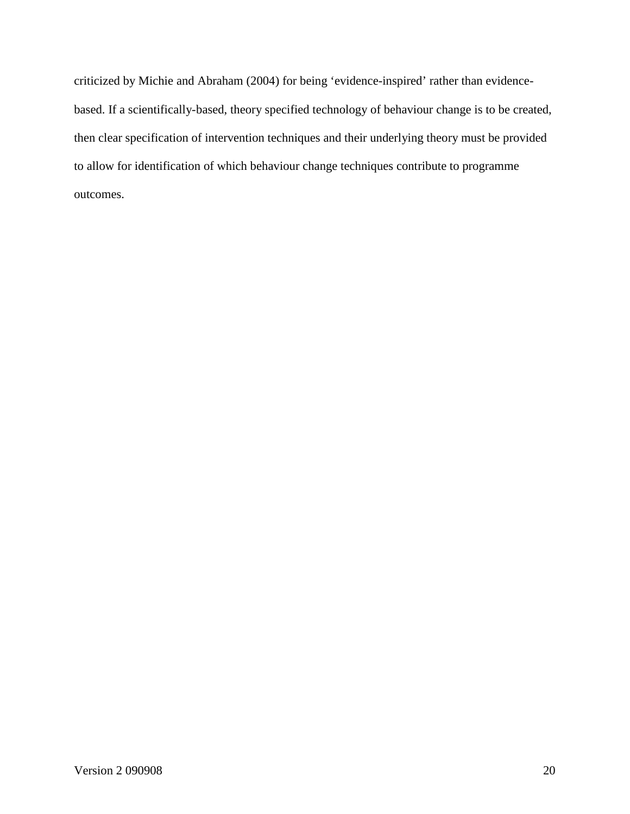criticized by Michie and Abraham (2004) for being 'evidence-inspired' rather than evidencebased. If a scientifically-based, theory specified technology of behaviour change is to be created, then clear specification of intervention techniques and their underlying theory must be provided to allow for identification of which behaviour change techniques contribute to programme outcomes.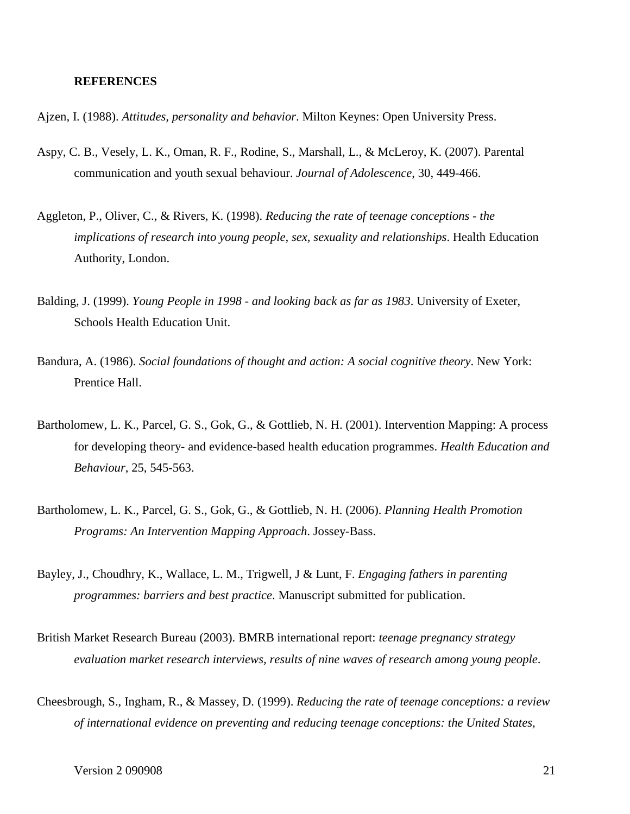#### **REFERENCES**

- Ajzen, I. (1988). *Attitudes, personality and behavior*. Milton Keynes: Open University Press.
- Aspy, C. B., Vesely, L. K., Oman, R. F., Rodine, S., Marshall, L., & McLeroy, K. (2007). Parental communication and youth sexual behaviour. *Journal of Adolescence*, 30, 449-466.
- Aggleton, P., Oliver, C., & Rivers, K. (1998). *Reducing the rate of teenage conceptions - the implications of research into young people, sex, sexuality and relationships*. Health Education Authority, London.
- Balding, J. (1999). *Young People in 1998 - and looking back as far as 1983*. University of Exeter, Schools Health Education Unit.
- Bandura, A. (1986). *Social foundations of thought and action: A social cognitive theory*. New York: Prentice Hall.
- Bartholomew, L. K., Parcel, G. S., Gok, G., & Gottlieb, N. H. (2001). Intervention Mapping: A process for developing theory- and evidence-based health education programmes. *Health Education and Behaviour*, 25, 545-563.
- Bartholomew, L. K., Parcel, G. S., Gok, G., & Gottlieb, N. H. (2006). *Planning Health Promotion Programs: An Intervention Mapping Approach*. Jossey-Bass.
- Bayley, J., Choudhry, K., Wallace, L. M., Trigwell, J & Lunt, F. *Engaging fathers in parenting programmes: barriers and best practice*. Manuscript submitted for publication.
- British Market Research Bureau (2003). BMRB international report: *teenage pregnancy strategy evaluation market research interviews, results of nine waves of research among young people*.
- Cheesbrough, S., Ingham, R., & Massey, D. (1999). *Reducing the rate of teenage conceptions: a review of international evidence on preventing and reducing teenage conceptions: the United States,*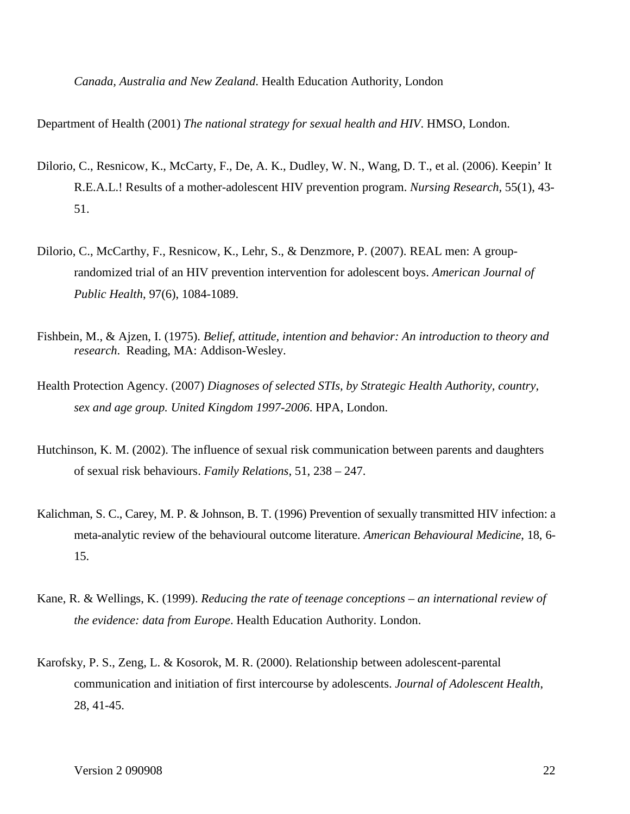*Canada, Australia and New Zealand*. Health Education Authority, London

Department of Health (2001) *The national strategy for sexual health and HIV*. HMSO, London.

- Dilorio, C., Resnicow, K., McCarty, F., De, A. K., Dudley, W. N., Wang, D. T., et al. (2006). Keepin' It R.E.A.L.! Results of a mother-adolescent HIV prevention program. *Nursing Research,* 55(1), 43- 51.
- Dilorio, C., McCarthy, F., Resnicow, K., Lehr, S., & Denzmore, P. (2007). REAL men: A grouprandomized trial of an HIV prevention intervention for adolescent boys. *American Journal of Public Health*, 97(6), 1084-1089.
- Fishbein, M., & Ajzen, I. (1975). *Belief, attitude, intention and behavior: An introduction to theory and research*. Reading, MA: Addison-Wesley.
- Health Protection Agency. (2007) *Diagnoses of selected STIs, by Strategic Health Authority, country, sex and age group. United Kingdom 1997-2006*. HPA, London.
- Hutchinson, K. M. (2002). The influence of sexual risk communication between parents and daughters of sexual risk behaviours. *Family Relations*, 51, 238 – 247.
- Kalichman, S. C., Carey, M. P. & Johnson, B. T. (1996) Prevention of sexually transmitted HIV infection: a meta-analytic review of the behavioural outcome literature. *American Behavioural Medicine*, 18, 6- 15.
- Kane, R. & Wellings, K. (1999). *Reducing the rate of teenage conceptions – an international review of the evidence: data from Europe*. Health Education Authority. London.
- Karofsky, P. S., Zeng, L. & Kosorok, M. R. (2000). Relationship between adolescent-parental communication and initiation of first intercourse by adolescents. *Journal of Adolescent Health*, 28, 41-45.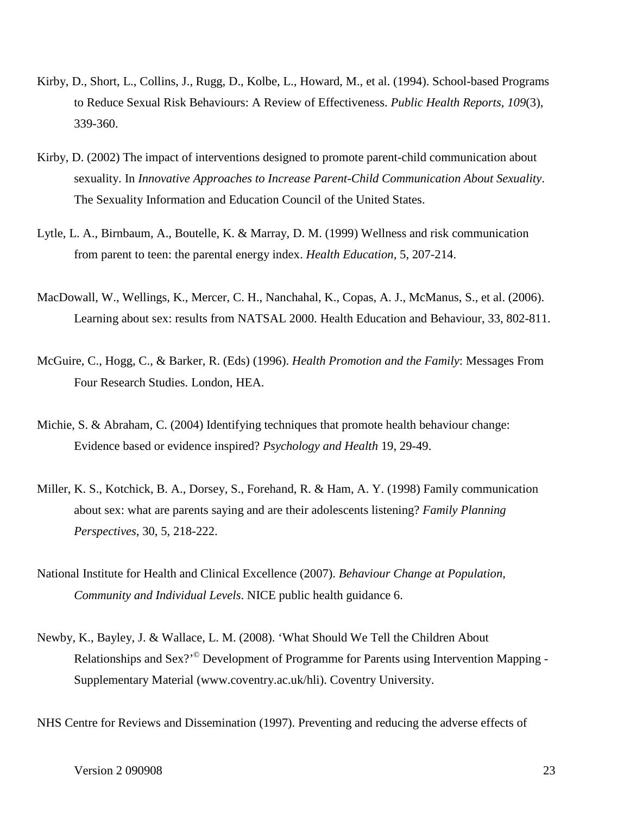- Kirby, D., Short, L., Collins, J., Rugg, D., Kolbe, L., Howard, M., et al. (1994). School-based Programs to Reduce Sexual Risk Behaviours: A Review of Effectiveness. *Public Health Reports*, *109*(3), 339-360.
- Kirby, D. (2002) The impact of interventions designed to promote parent-child communication about sexuality. In *Innovative Approaches to Increase Parent-Child Communication About Sexuality*. The Sexuality Information and Education Council of the United States.
- Lytle, L. A., Birnbaum, A., Boutelle, K. & Marray, D. M. (1999) Wellness and risk communication from parent to teen: the parental energy index. *Health Education*, 5, 207-214.
- MacDowall, W., Wellings, K., Mercer, C. H., Nanchahal, K., Copas, A. J., McManus, S., et al. (2006). Learning about sex: results from NATSAL 2000. Health Education and Behaviour, 33, 802-811.
- McGuire, C., Hogg, C., & Barker, R. (Eds) (1996). *Health Promotion and the Family*: Messages From Four Research Studies. London, HEA.
- [Michie, S. & Abraham, C. \(2004\) Identifying techniques that promote health behaviour change:](http://www.psychol.ucl.ac.uk/susan.michie/references/Michie%20-%20beh%20change%20rev.pdf)  [Evidence based or evidence inspired?](http://www.psychol.ucl.ac.uk/susan.michie/references/Michie%20-%20beh%20change%20rev.pdf) *Psychology and Health* 19, 29-49.
- Miller, K. S., Kotchick, B. A., Dorsey, S., Forehand, R. & Ham, A. Y. (1998) Family communication about sex: what are parents saying and are their adolescents listening? *Family Planning Perspectives*, 30, 5, 218-222.
- National Institute for Health and Clinical Excellence (2007). *Behaviour Change at Population, Community and Individual Levels*. NICE public health guidance 6.
- Newby, K., Bayley, J. & Wallace, L. M. (2008). 'What Should We Tell the Children About Relationships and Sex?'<sup>©</sup> Development of Programme for Parents using Intervention Mapping -Supplementary Material (www.coventry.ac.uk/hli). Coventry University.
- NHS Centre for Reviews and Dissemination (1997). Preventing and reducing the adverse effects of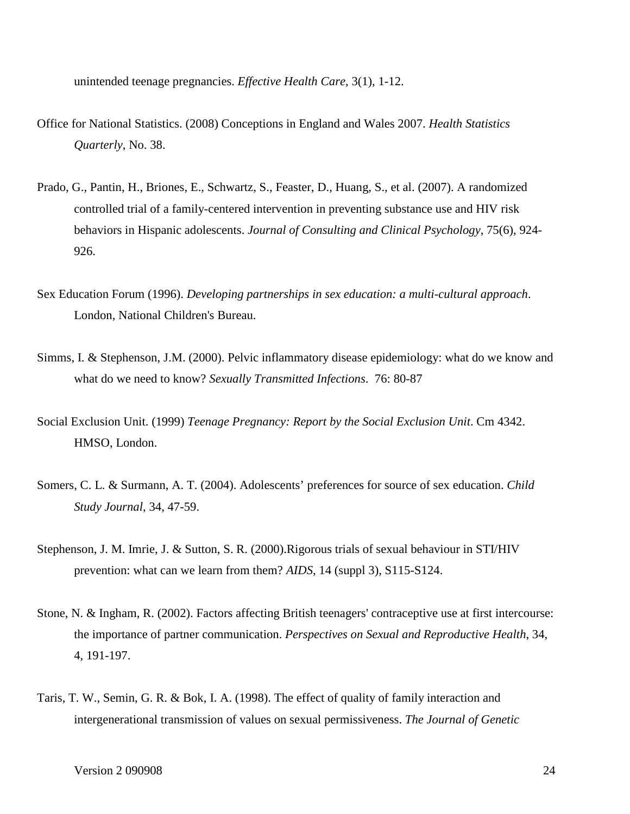unintended teenage pregnancies. *Effective Health Care*, 3(1), 1-12.

- Office for National Statistics. (2008) Conceptions in England and Wales 2007. *Health Statistics Quarterly*, No. 38.
- Prado, G., Pantin, H., Briones, E., Schwartz, S., Feaster, D., Huang, S., et al. (2007). A randomized controlled trial of a family-centered intervention in preventing substance use and HIV risk behaviors in Hispanic adolescents. *Journal of Consulting and Clinical Psychology*, 75(6), 924- 926.
- Sex Education Forum (1996). *Developing partnerships in sex education: a multi-cultural approach*. London, National Children's Bureau.
- Simms, I. & Stephenson, J.M. (2000). Pelvic inflammatory disease epidemiology: what do we know and what do we need to know? *Sexually Transmitted Infections*. 76: 80-87
- Social Exclusion Unit. (1999) *Teenage Pregnancy: Report by the Social Exclusion Unit*. Cm 4342. HMSO, London.
- Somers, C. L. & Surmann, A. T. (2004). Adolescents' preferences for source of sex education. *Child Study Journal*, 34, 47-59.
- Stephenson, J. M. Imrie, J. & Sutton, S. R. (2000).Rigorous trials of sexual behaviour in STI/HIV prevention: what can we learn from them? *AIDS*, 14 (suppl 3), S115-S124.
- Stone, N. & Ingham, R. (2002). Factors affecting British teenagers' contraceptive use at first intercourse: the importance of partner communication. *Perspectives on Sexual and Reproductive Health*, 34, 4, 191-197.
- Taris, T. W., Semin, G. R. & Bok, I. A. (1998). The effect of quality of family interaction and intergenerational transmission of values on sexual permissiveness. *The Journal of Genetic*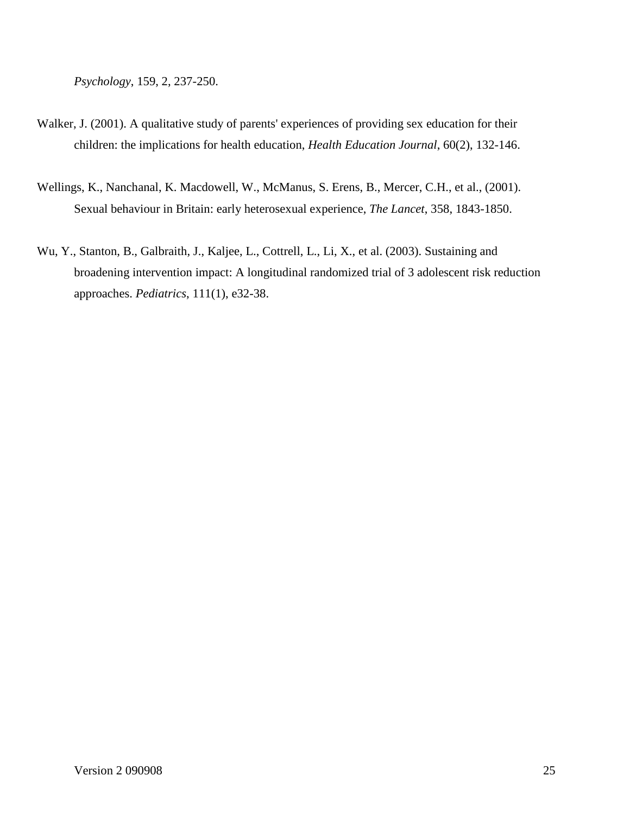*Psychology*, 159, 2, 237-250.

- Walker, J. (2001). A qualitative study of parents' experiences of providing sex education for their children: the implications for health education, *Health Education Journal*, 60(2), 132-146.
- Wellings, K., Nanchanal, K. Macdowell, W., McManus, S. Erens, B., Mercer, C.H., et al., (2001). Sexual behaviour in Britain: early heterosexual experience, *The Lancet*, 358, 1843-1850.
- Wu, Y., Stanton, B., Galbraith, J., Kaljee, L., Cottrell, L., Li, X., et al. (2003). Sustaining and broadening intervention impact: A longitudinal randomized trial of 3 adolescent risk reduction approaches. *Pediatrics*, 111(1), e32-38.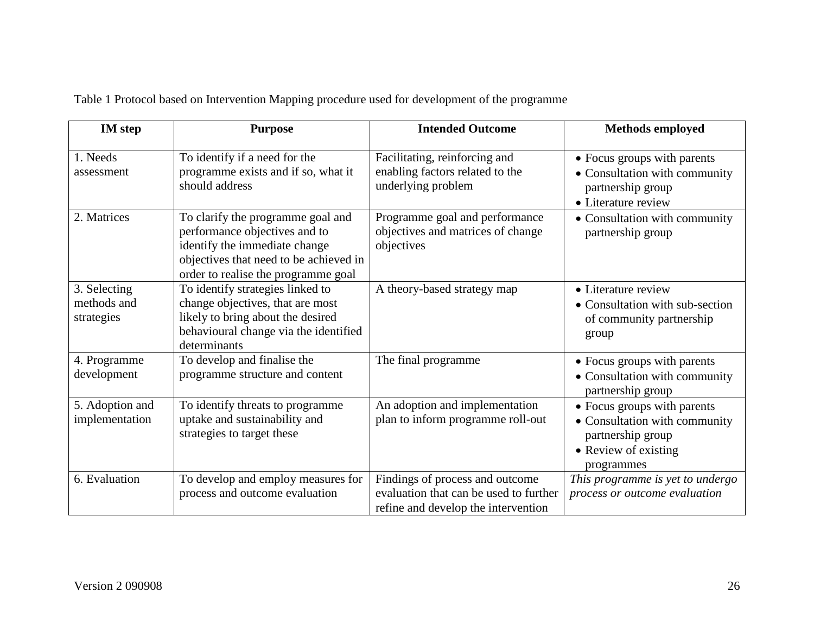| Table 1 Protocol based on Intervention Mapping procedure used for development of the programme |  |
|------------------------------------------------------------------------------------------------|--|
|                                                                                                |  |

| <b>IM</b> step                            | <b>Purpose</b>                                                                                                                                                                       | <b>Intended Outcome</b>                                                                                          | <b>Methods employed</b>                                                                                                 |
|-------------------------------------------|--------------------------------------------------------------------------------------------------------------------------------------------------------------------------------------|------------------------------------------------------------------------------------------------------------------|-------------------------------------------------------------------------------------------------------------------------|
| 1. Needs<br>assessment                    | To identify if a need for the<br>programme exists and if so, what it<br>should address                                                                                               | Facilitating, reinforcing and<br>enabling factors related to the<br>underlying problem                           | • Focus groups with parents<br>• Consultation with community<br>partnership group<br>• Literature review                |
| 2. Matrices                               | To clarify the programme goal and<br>performance objectives and to<br>identify the immediate change<br>objectives that need to be achieved in<br>order to realise the programme goal | Programme goal and performance<br>objectives and matrices of change<br>objectives                                | • Consultation with community<br>partnership group                                                                      |
| 3. Selecting<br>methods and<br>strategies | To identify strategies linked to<br>change objectives, that are most<br>likely to bring about the desired<br>behavioural change via the identified<br>determinants                   | A theory-based strategy map                                                                                      | • Literature review<br>• Consultation with sub-section<br>of community partnership<br>group                             |
| 4. Programme<br>development               | To develop and finalise the<br>programme structure and content                                                                                                                       | The final programme                                                                                              | • Focus groups with parents<br>• Consultation with community<br>partnership group                                       |
| 5. Adoption and<br>implementation         | To identify threats to programme<br>uptake and sustainability and<br>strategies to target these                                                                                      | An adoption and implementation<br>plan to inform programme roll-out                                              | • Focus groups with parents<br>• Consultation with community<br>partnership group<br>• Review of existing<br>programmes |
| 6. Evaluation                             | To develop and employ measures for<br>process and outcome evaluation                                                                                                                 | Findings of process and outcome<br>evaluation that can be used to further<br>refine and develop the intervention | This programme is yet to undergo<br>process or outcome evaluation                                                       |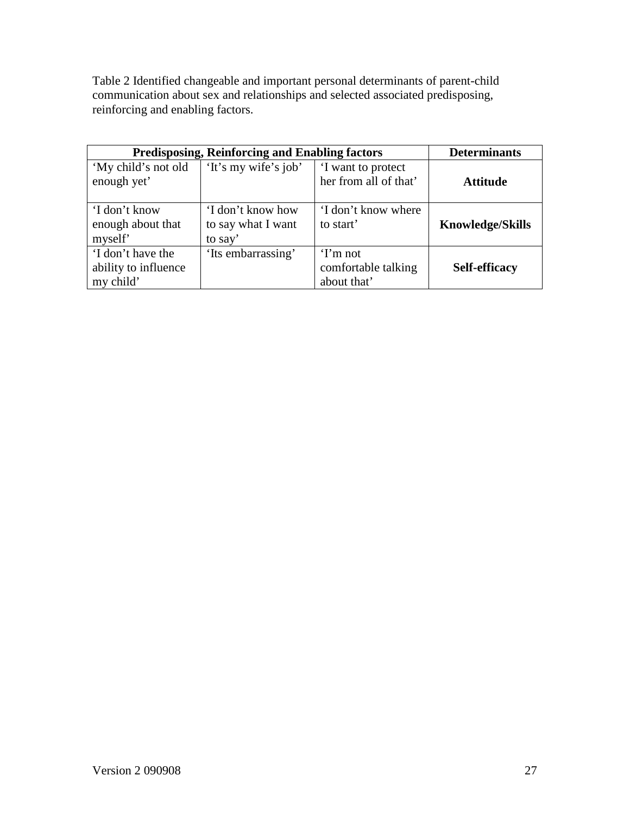Table 2 Identified changeable and important personal determinants of parent-child communication about sex and relationships and selected associated predisposing, reinforcing and enabling factors.

|                                                        | <b>Predisposing, Reinforcing and Enabling factors</b> |                                                | <b>Determinants</b>     |
|--------------------------------------------------------|-------------------------------------------------------|------------------------------------------------|-------------------------|
| 'My child's not old<br>enough yet'                     | 'It's my wife's job'                                  | I want to protect<br>her from all of that'     | <b>Attitude</b>         |
| 'I don't know<br>enough about that<br>myself'          | 'I don't know how<br>to say what I want<br>to say'    | 'I don't know where<br>to start'               | <b>Knowledge/Skills</b> |
| 'I don't have the<br>ability to influence<br>my child' | 'Its embarrassing'                                    | $Tm$ not<br>comfortable talking<br>about that' | Self-efficacy           |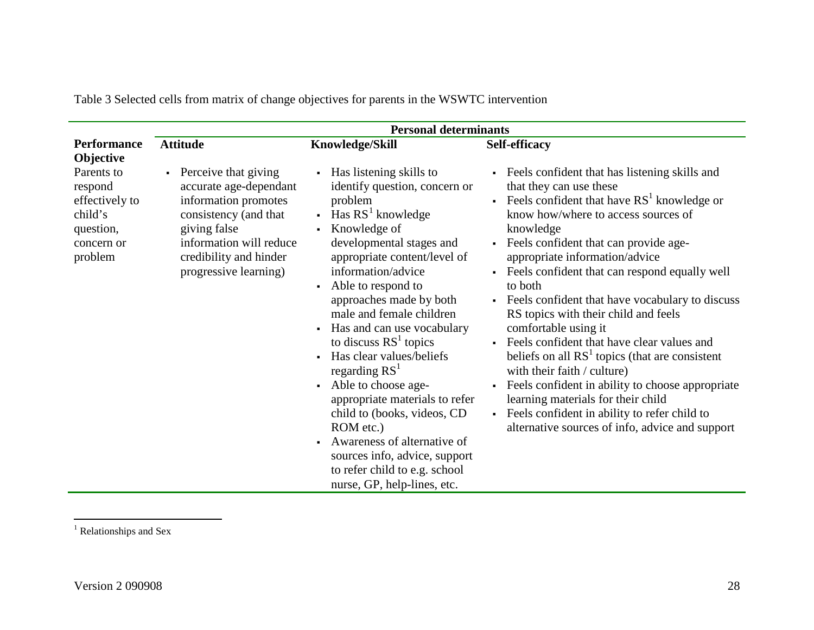|                                                                                          |                                                                                                                                                                                                 | <b>Personal determinants</b>                                                                                                                                                                                                                                                                                                                                                                                                                                                                                                                                                                                                                                                                                                                                           |                                                                                                                                                                                                                                                                                                                                                                                                                                                                                                                                                                                                                                                                                                                                                                                                                                                |
|------------------------------------------------------------------------------------------|-------------------------------------------------------------------------------------------------------------------------------------------------------------------------------------------------|------------------------------------------------------------------------------------------------------------------------------------------------------------------------------------------------------------------------------------------------------------------------------------------------------------------------------------------------------------------------------------------------------------------------------------------------------------------------------------------------------------------------------------------------------------------------------------------------------------------------------------------------------------------------------------------------------------------------------------------------------------------------|------------------------------------------------------------------------------------------------------------------------------------------------------------------------------------------------------------------------------------------------------------------------------------------------------------------------------------------------------------------------------------------------------------------------------------------------------------------------------------------------------------------------------------------------------------------------------------------------------------------------------------------------------------------------------------------------------------------------------------------------------------------------------------------------------------------------------------------------|
| <b>Performance</b><br>Objective                                                          | <b>Attitude</b>                                                                                                                                                                                 | Knowledge/Skill                                                                                                                                                                                                                                                                                                                                                                                                                                                                                                                                                                                                                                                                                                                                                        | <b>Self-efficacy</b>                                                                                                                                                                                                                                                                                                                                                                                                                                                                                                                                                                                                                                                                                                                                                                                                                           |
| Parents to<br>respond<br>effectively to<br>child's<br>question,<br>concern or<br>problem | • Perceive that giving<br>accurate age-dependant<br>information promotes<br>consistency (and that<br>giving false<br>information will reduce<br>credibility and hinder<br>progressive learning) | Has listening skills to<br>$\blacksquare$<br>identify question, concern or<br>problem<br>Has $RS1$ knowledge<br>$\blacksquare$<br>Knowledge of<br>$\blacksquare$<br>developmental stages and<br>appropriate content/level of<br>information/advice<br>Able to respond to<br>$\blacksquare$<br>approaches made by both<br>male and female children<br>Has and can use vocabulary<br>$\blacksquare$<br>to discuss $RS1$ topics<br>Has clear values/beliefs<br>$\blacksquare$<br>regarding $RST$<br>Able to choose age-<br>$\blacksquare$<br>appropriate materials to refer<br>child to (books, videos, CD<br>ROM etc.)<br>Awareness of alternative of<br>$\blacksquare$<br>sources info, advice, support<br>to refer child to e.g. school<br>nurse, GP, help-lines, etc. | • Feels confident that has listening skills and<br>that they can use these<br><b>Feels confident that have <math>RS1</math> knowledge or</b><br>know how/where to access sources of<br>knowledge<br>- Feels confident that can provide age-<br>appropriate information/advice<br>Feels confident that can respond equally well<br>$\mathbf{r}$<br>to both<br>• Feels confident that have vocabulary to discuss<br>RS topics with their child and feels<br>comfortable using it<br>Feels confident that have clear values and<br>beliefs on all $RS1$ topics (that are consistent<br>with their faith / culture)<br>Feels confident in ability to choose appropriate<br>$\mathbf{r}$<br>learning materials for their child<br>Feels confident in ability to refer child to<br>$\blacksquare$<br>alternative sources of info, advice and support |

Table 3 Selected cells from matrix of change objectives for parents in the WSWTC intervention

<sup>1</sup> Relationships and Sex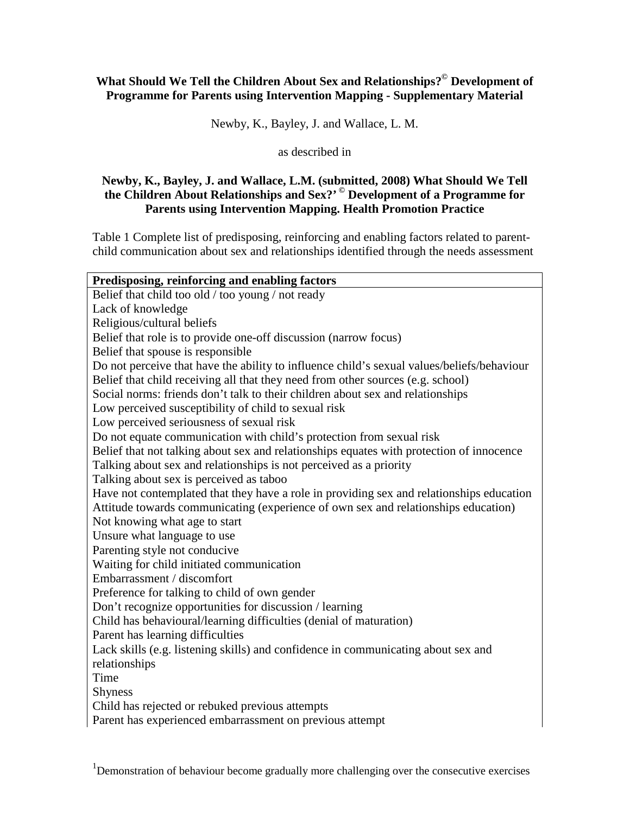# **What Should We Tell the Children About Sex and Relationships?© Development of Programme for Parents using Intervention Mapping - Supplementary Material**

Newby, K., Bayley, J. and Wallace, L. M.

#### as described in

#### **Newby, K., Bayley, J. and Wallace, L.M. (submitted, 2008) What Should We Tell the Children About Relationships and Sex?' © Development of a Programme for Parents using Intervention Mapping. Health Promotion Practice**

Table 1 Complete list of predisposing, reinforcing and enabling factors related to parentchild communication about sex and relationships identified through the needs assessment

| Predisposing, reinforcing and enabling factors                                             |
|--------------------------------------------------------------------------------------------|
| Belief that child too old / too young / not ready                                          |
| Lack of knowledge                                                                          |
| Religious/cultural beliefs                                                                 |
| Belief that role is to provide one-off discussion (narrow focus)                           |
| Belief that spouse is responsible                                                          |
| Do not perceive that have the ability to influence child's sexual values/beliefs/behaviour |
| Belief that child receiving all that they need from other sources (e.g. school)            |
| Social norms: friends don't talk to their children about sex and relationships             |
| Low perceived susceptibility of child to sexual risk                                       |
| Low perceived seriousness of sexual risk                                                   |
| Do not equate communication with child's protection from sexual risk                       |
| Belief that not talking about sex and relationships equates with protection of innocence   |
| Talking about sex and relationships is not perceived as a priority                         |
| Talking about sex is perceived as taboo                                                    |
| Have not contemplated that they have a role in providing sex and relationships education   |
| Attitude towards communicating (experience of own sex and relationships education)         |
| Not knowing what age to start                                                              |
| Unsure what language to use                                                                |
| Parenting style not conducive                                                              |
| Waiting for child initiated communication                                                  |
| Embarrassment / discomfort                                                                 |
| Preference for talking to child of own gender                                              |
| Don't recognize opportunities for discussion / learning                                    |
| Child has behavioural/learning difficulties (denial of maturation)                         |
| Parent has learning difficulties                                                           |
| Lack skills (e.g. listening skills) and confidence in communicating about sex and          |
| relationships                                                                              |
| Time                                                                                       |
| <b>Shyness</b>                                                                             |
| Child has rejected or rebuked previous attempts                                            |
| Parent has experienced embarrassment on previous attempt                                   |
|                                                                                            |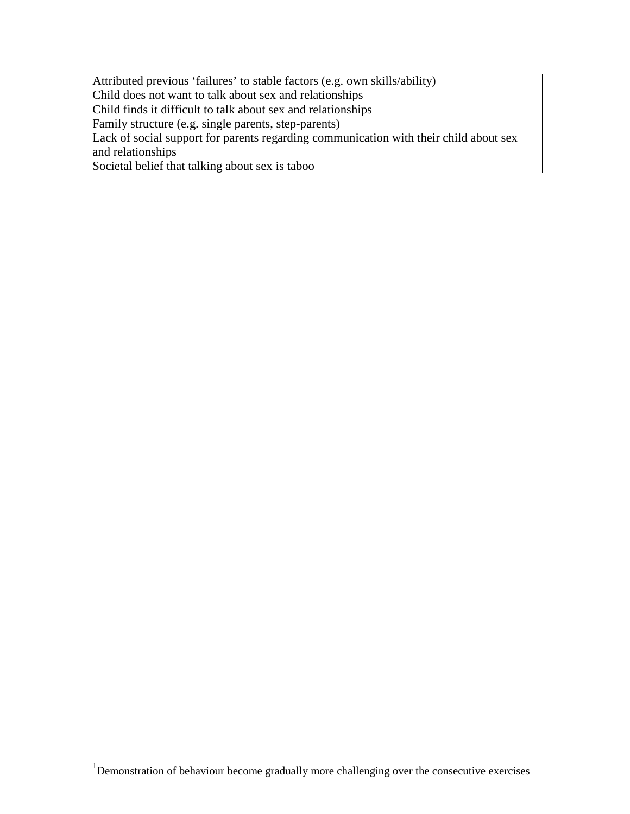Attributed previous 'failures' to stable factors (e.g. own skills/ability) Child does not want to talk about sex and relationships Child finds it difficult to talk about sex and relationships Family structure (e.g. single parents, step-parents) Lack of social support for parents regarding communication with their child about sex and relationships Societal belief that talking about sex is taboo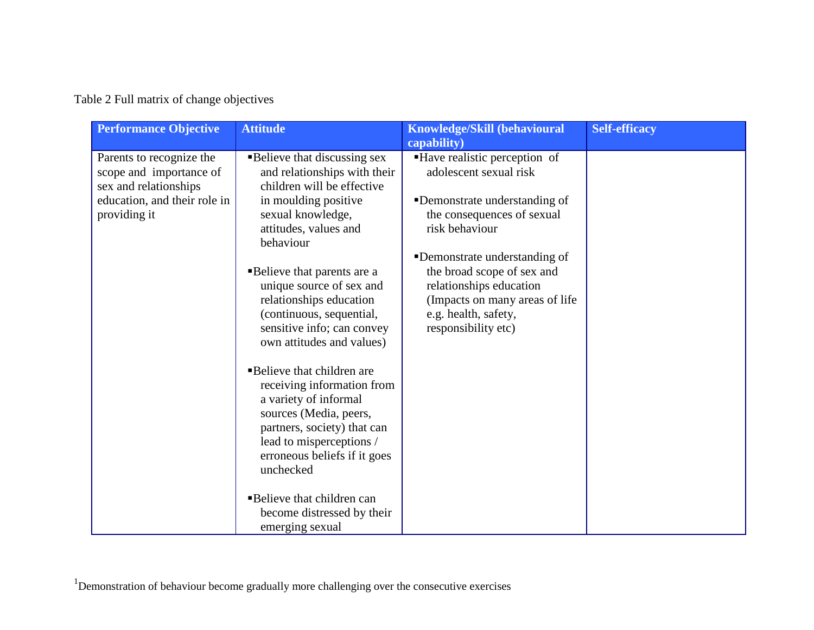# Table 2 Full matrix of change objectives

| <b>Performance Objective</b>                                                                                                 | <b>Attitude</b>                                                                                                                                                                                                                                                                                                                                                                                                                                                                                                                                                                                                                                                              | <b>Knowledge/Skill (behavioural</b><br>capability)                                                                                                                                                                                                                                                                   | <b>Self-efficacy</b> |
|------------------------------------------------------------------------------------------------------------------------------|------------------------------------------------------------------------------------------------------------------------------------------------------------------------------------------------------------------------------------------------------------------------------------------------------------------------------------------------------------------------------------------------------------------------------------------------------------------------------------------------------------------------------------------------------------------------------------------------------------------------------------------------------------------------------|----------------------------------------------------------------------------------------------------------------------------------------------------------------------------------------------------------------------------------------------------------------------------------------------------------------------|----------------------|
| Parents to recognize the<br>scope and importance of<br>sex and relationships<br>education, and their role in<br>providing it | <b>Believe that discussing sex</b><br>and relationships with their<br>children will be effective<br>in moulding positive<br>sexual knowledge,<br>attitudes, values and<br>behaviour<br>■Believe that parents are a<br>unique source of sex and<br>relationships education<br>(continuous, sequential,<br>sensitive info; can convey<br>own attitudes and values)<br>■Believe that children are<br>receiving information from<br>a variety of informal<br>sources (Media, peers,<br>partners, society) that can<br>lead to misperceptions /<br>erroneous beliefs if it goes<br>unchecked<br><b>Believe that children can</b><br>become distressed by their<br>emerging sexual | ■ Have realistic perception of<br>adolescent sexual risk<br>•Demonstrate understanding of<br>the consequences of sexual<br>risk behaviour<br>•Demonstrate understanding of<br>the broad scope of sex and<br>relationships education<br>(Impacts on many areas of life<br>e.g. health, safety,<br>responsibility etc) |                      |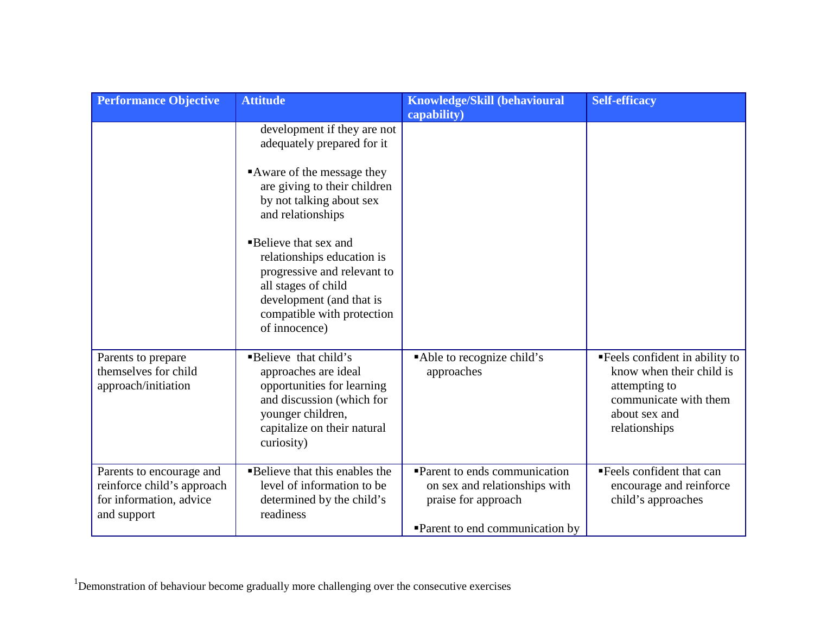| <b>Performance Objective</b>                                                                     | <b>Attitude</b>                                                                                                                                                                                                                                                                                                                                                       | Knowledge/Skill (behavioural<br>capability)                                                                            | <b>Self-efficacy</b>                                                                                                                   |
|--------------------------------------------------------------------------------------------------|-----------------------------------------------------------------------------------------------------------------------------------------------------------------------------------------------------------------------------------------------------------------------------------------------------------------------------------------------------------------------|------------------------------------------------------------------------------------------------------------------------|----------------------------------------------------------------------------------------------------------------------------------------|
|                                                                                                  | development if they are not<br>adequately prepared for it<br>Aware of the message they<br>are giving to their children<br>by not talking about sex<br>and relationships<br><b>Believe that sex and</b><br>relationships education is<br>progressive and relevant to<br>all stages of child<br>development (and that is<br>compatible with protection<br>of innocence) |                                                                                                                        |                                                                                                                                        |
| Parents to prepare<br>themselves for child<br>approach/initiation                                | <b>Believe</b> that child's<br>approaches are ideal<br>opportunities for learning<br>and discussion (which for<br>younger children,<br>capitalize on their natural<br>curiosity)                                                                                                                                                                                      | Able to recognize child's<br>approaches                                                                                | "Feels confident in ability to<br>know when their child is<br>attempting to<br>communicate with them<br>about sex and<br>relationships |
| Parents to encourage and<br>reinforce child's approach<br>for information, advice<br>and support | <b>Believe that this enables the</b><br>level of information to be<br>determined by the child's<br>readiness                                                                                                                                                                                                                                                          | Parent to ends communication<br>on sex and relationships with<br>praise for approach<br>Parent to end communication by | Feels confident that can<br>encourage and reinforce<br>child's approaches                                                              |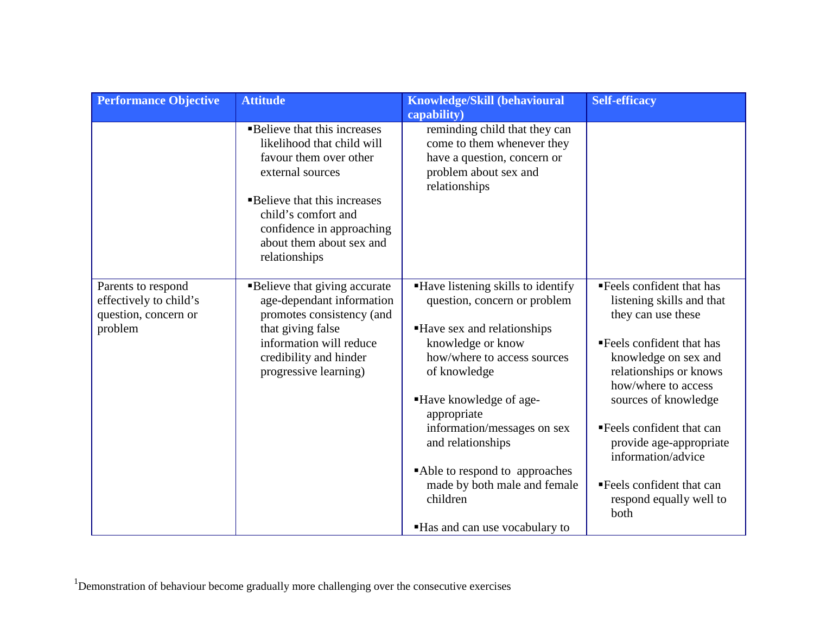| <b>Performance Objective</b>                                                    | <b>Attitude</b>                                                                                                               | Knowledge/Skill (behavioural                                                                                                         | <b>Self-efficacy</b>                                                                               |
|---------------------------------------------------------------------------------|-------------------------------------------------------------------------------------------------------------------------------|--------------------------------------------------------------------------------------------------------------------------------------|----------------------------------------------------------------------------------------------------|
|                                                                                 |                                                                                                                               | capability)                                                                                                                          |                                                                                                    |
|                                                                                 | <b>Believe that this increases</b><br>likelihood that child will<br>favour them over other<br>external sources                | reminding child that they can<br>come to them whenever they<br>have a question, concern or<br>problem about sex and<br>relationships |                                                                                                    |
|                                                                                 | ■Believe that this increases<br>child's comfort and<br>confidence in approaching<br>about them about sex and<br>relationships |                                                                                                                                      |                                                                                                    |
| Parents to respond<br>effectively to child's<br>question, concern or<br>problem | <b>Believe that giving accurate</b><br>age-dependant information<br>promotes consistency (and                                 | "Have listening skills to identify<br>question, concern or problem                                                                   | "Feels confident that has<br>listening skills and that<br>they can use these                       |
|                                                                                 | that giving false<br>information will reduce<br>credibility and hinder<br>progressive learning)                               | Have sex and relationships<br>knowledge or know<br>how/where to access sources<br>of knowledge                                       | "Feels confident that has<br>knowledge on sex and<br>relationships or knows<br>how/where to access |
|                                                                                 |                                                                                                                               | ■Have knowledge of age-<br>appropriate                                                                                               | sources of knowledge                                                                               |
|                                                                                 |                                                                                                                               | information/messages on sex<br>and relationships                                                                                     | Feels confident that can<br>provide age-appropriate<br>information/advice                          |
|                                                                                 |                                                                                                                               | Able to respond to approaches<br>made by both male and female<br>children                                                            | Feels confident that can<br>respond equally well to<br>both                                        |
|                                                                                 |                                                                                                                               | Has and can use vocabulary to                                                                                                        |                                                                                                    |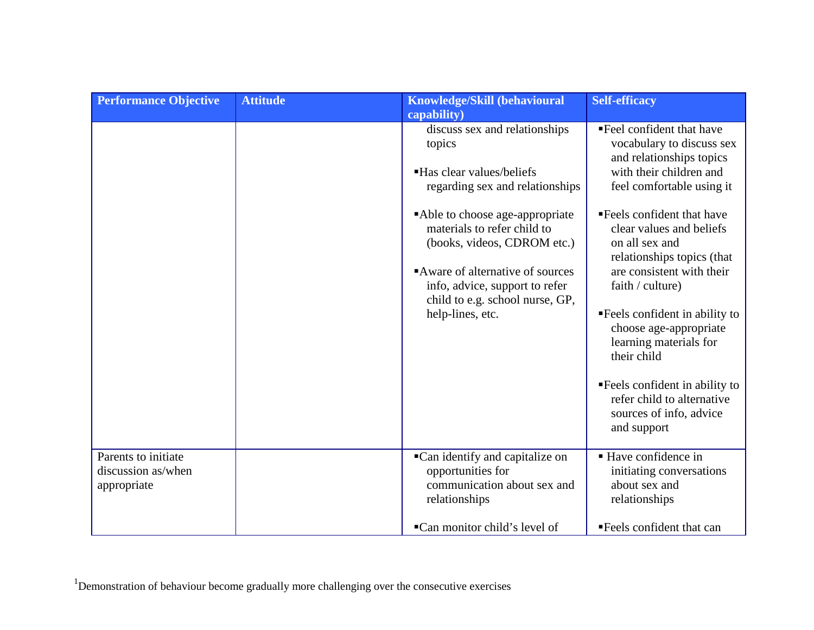|                                                          | capability)<br>discuss sex and relationships<br>topics                                                                                                                                                                                                                                    | "Feel confident that have                                                                                                                                                                                                                                                                                                                                                                                                                                                                           |
|----------------------------------------------------------|-------------------------------------------------------------------------------------------------------------------------------------------------------------------------------------------------------------------------------------------------------------------------------------------|-----------------------------------------------------------------------------------------------------------------------------------------------------------------------------------------------------------------------------------------------------------------------------------------------------------------------------------------------------------------------------------------------------------------------------------------------------------------------------------------------------|
|                                                          | • Has clear values/beliefs<br>regarding sex and relationships<br>Able to choose age-appropriate<br>materials to refer child to<br>(books, videos, CDROM etc.)<br>Aware of alternative of sources<br>info, advice, support to refer<br>child to e.g. school nurse, GP,<br>help-lines, etc. | vocabulary to discuss sex<br>and relationships topics<br>with their children and<br>feel comfortable using it<br>■Feels confident that have<br>clear values and beliefs<br>on all sex and<br>relationships topics (that<br>are consistent with their<br>faith / culture)<br><b>Feels</b> confident in ability to<br>choose age-appropriate<br>learning materials for<br>their child<br><b>Feels</b> confident in ability to<br>refer child to alternative<br>sources of info, advice<br>and support |
| Parents to initiate<br>discussion as/when<br>appropriate | •Can identify and capitalize on<br>opportunities for<br>communication about sex and<br>relationships<br>■Can monitor child's level of                                                                                                                                                     | ■ Have confidence in<br>initiating conversations<br>about sex and<br>relationships<br>"Feels confident that can                                                                                                                                                                                                                                                                                                                                                                                     |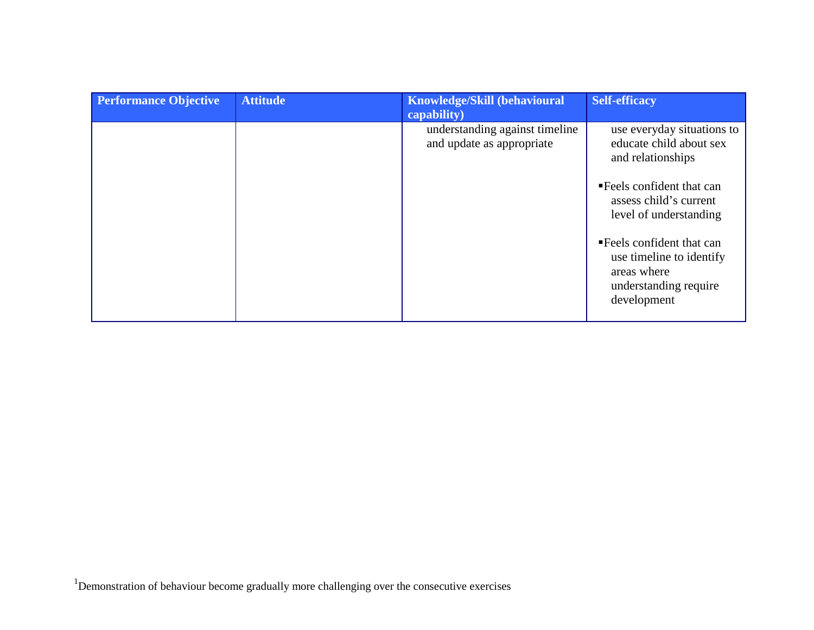| <b>Performance Objective</b> | <b>Attitude</b> | <b>Knowledge/Skill (behavioural</b>                         | <b>Self-efficacy</b>                                                                                          |
|------------------------------|-----------------|-------------------------------------------------------------|---------------------------------------------------------------------------------------------------------------|
|                              |                 | capability)                                                 |                                                                                                               |
|                              |                 | understanding against timeline<br>and update as appropriate | use everyday situations to<br>educate child about sex<br>and relationships                                    |
|                              |                 |                                                             | ■ Feels confident that can<br>assess child's current<br>level of understanding                                |
|                              |                 |                                                             | • Feels confident that can<br>use timeline to identify<br>areas where<br>understanding require<br>development |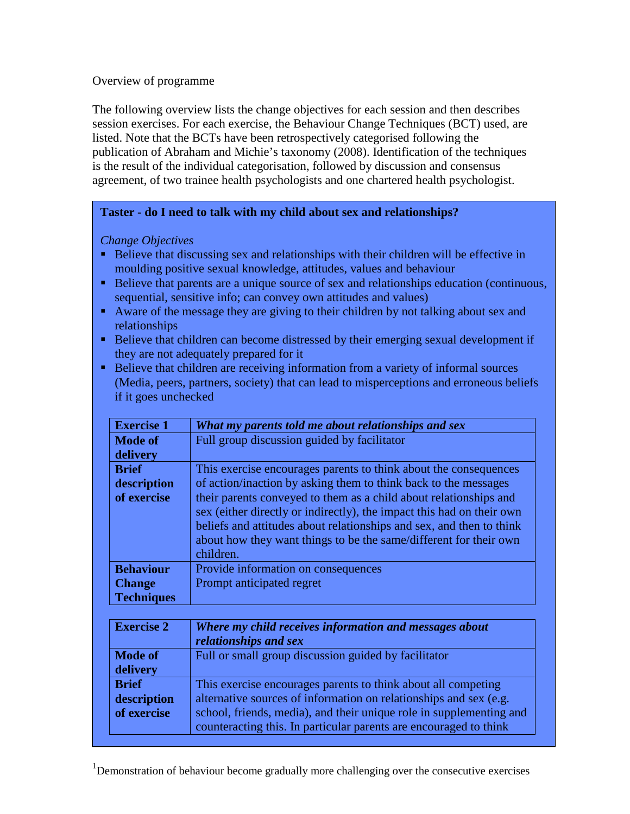#### Overview of programme

The following overview lists the change objectives for each session and then describes session exercises. For each exercise, the Behaviour Change Techniques (BCT) used, are listed. Note that the BCTs have been retrospectively categorised following the publication of Abraham and Michie's taxonomy (2008). Identification of the techniques is the result of the individual categorisation, followed by discussion and consensus agreement, of two trainee health psychologists and one chartered health psychologist.

## **Taster - do I need to talk with my child about sex and relationships?**

## *Change Objectives*

- Believe that discussing sex and relationships with their children will be effective in moulding positive sexual knowledge, attitudes, values and behaviour
- Believe that parents are a unique source of sex and relationships education (continuous, sequential, sensitive info; can convey own attitudes and values)
- Aware of the message they are giving to their children by not talking about sex and relationships
- Believe that children can become distressed by their emerging sexual development if they are not adequately prepared for it
- Believe that children are receiving information from a variety of informal sources (Media, peers, partners, society) that can lead to misperceptions and erroneous beliefs if it goes unchecked

| <b>Exercise 1</b> | What my parents told me about relationships and sex                                                                                                                                                                                                                                                  |
|-------------------|------------------------------------------------------------------------------------------------------------------------------------------------------------------------------------------------------------------------------------------------------------------------------------------------------|
| <b>Mode of</b>    | Full group discussion guided by facilitator                                                                                                                                                                                                                                                          |
| delivery          |                                                                                                                                                                                                                                                                                                      |
| <b>Brief</b>      | This exercise encourages parents to think about the consequences                                                                                                                                                                                                                                     |
| description       | of action/inaction by asking them to think back to the messages                                                                                                                                                                                                                                      |
| of exercise       | their parents conveyed to them as a child about relationships and<br>sex (either directly or indirectly), the impact this had on their own<br>beliefs and attitudes about relationships and sex, and then to think<br>about how they want things to be the same/different for their own<br>children. |
| <b>Behaviour</b>  | Provide information on consequences                                                                                                                                                                                                                                                                  |
| <b>Change</b>     | Prompt anticipated regret                                                                                                                                                                                                                                                                            |
| <b>Techniques</b> |                                                                                                                                                                                                                                                                                                      |

| <b>Exercise 2</b> | Where my child receives information and messages about<br>relationships and sex |
|-------------------|---------------------------------------------------------------------------------|
| <b>Mode of</b>    | Full or small group discussion guided by facilitator                            |
| delivery          |                                                                                 |
| <b>Brief</b>      | This exercise encourages parents to think about all competing                   |
| description       | alternative sources of information on relationships and sex (e.g.               |
| of exercise       | school, friends, media), and their unique role in supplementing and             |
|                   | counteracting this. In particular parents are encouraged to think               |

<sup>&</sup>lt;sup>1</sup>Demonstration of behaviour become gradually more challenging over the consecutive exercises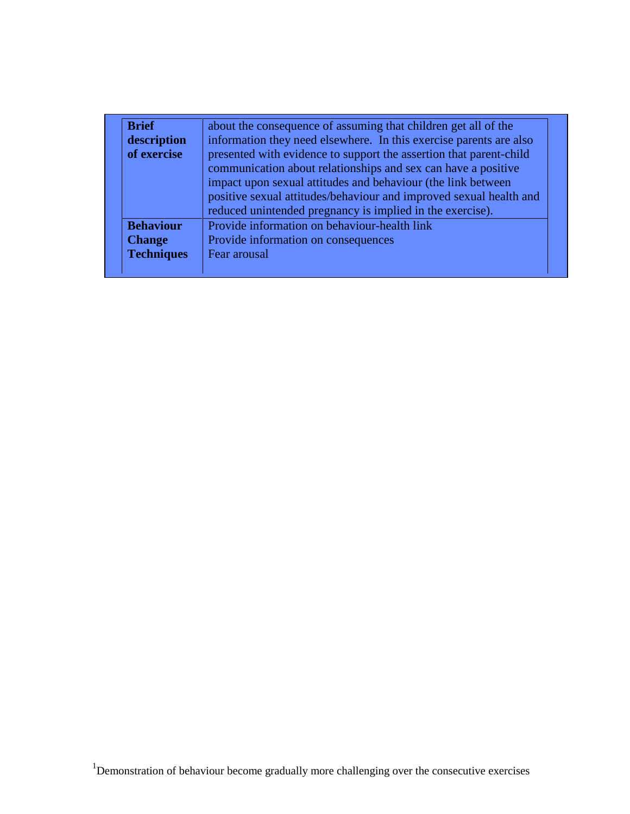| <b>Brief</b>      | about the consequence of assuming that children get all of the                                                                      |
|-------------------|-------------------------------------------------------------------------------------------------------------------------------------|
| description       | information they need elsewhere. In this exercise parents are also                                                                  |
| of exercise       | presented with evidence to support the assertion that parent-child<br>communication about relationships and sex can have a positive |
|                   | impact upon sexual attitudes and behaviour (the link between<br>positive sexual attitudes/behaviour and improved sexual health and  |
|                   | reduced unintended pregnancy is implied in the exercise).                                                                           |
| <b>Behaviour</b>  | Provide information on behaviour-health link                                                                                        |
| <b>Change</b>     | Provide information on consequences                                                                                                 |
| <b>Techniques</b> | Fear arousal                                                                                                                        |
|                   |                                                                                                                                     |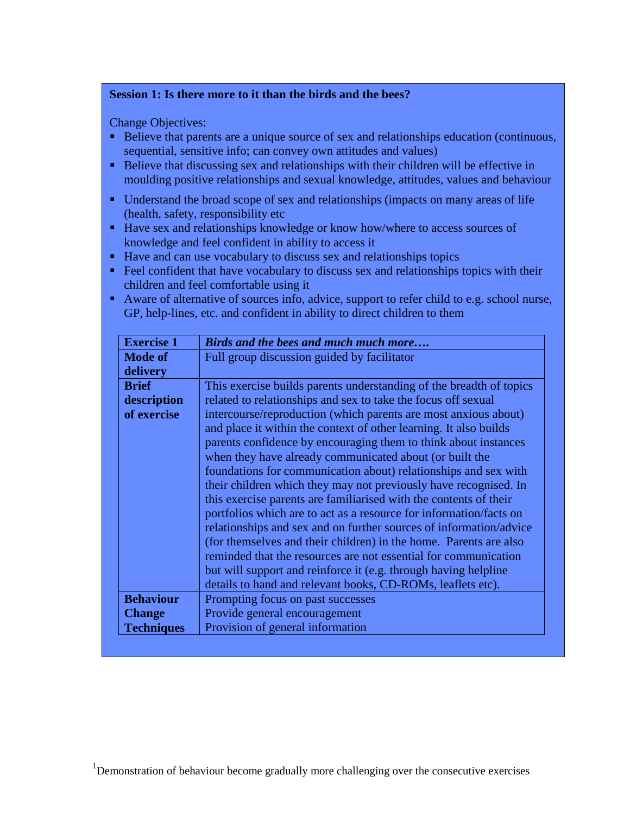#### **Session 1: Is there more to it than the birds and the bees?**

Change Objectives:

- Believe that parents are a unique source of sex and relationships education (continuous, sequential, sensitive info; can convey own attitudes and values)
- Believe that discussing sex and relationships with their children will be effective in moulding positive relationships and sexual knowledge, attitudes, values and behaviour
- Understand the broad scope of sex and relationships (impacts on many areas of life (health, safety, responsibility etc
- Have sex and relationships knowledge or know how/where to access sources of knowledge and feel confident in ability to access it
- Have and can use vocabulary to discuss sex and relationships topics
- Feel confident that have vocabulary to discuss sex and relationships topics with their children and feel comfortable using it
- Aware of alternative of sources info, advice, support to refer child to e.g. school nurse, GP, help-lines, etc. and confident in ability to direct children to them

| <b>Exercise 1</b> | Birds and the bees and much much more                               |
|-------------------|---------------------------------------------------------------------|
| <b>Mode of</b>    | Full group discussion guided by facilitator                         |
| delivery          |                                                                     |
| <b>Brief</b>      | This exercise builds parents understanding of the breadth of topics |
| description       | related to relationships and sex to take the focus off sexual       |
| of exercise       | intercourse/reproduction (which parents are most anxious about)     |
|                   | and place it within the context of other learning. It also builds   |
|                   | parents confidence by encouraging them to think about instances     |
|                   | when they have already communicated about (or built the             |
|                   | foundations for communication about) relationships and sex with     |
|                   | their children which they may not previously have recognised. In    |
|                   | this exercise parents are familiarised with the contents of their   |
|                   | portfolios which are to act as a resource for information/facts on  |
|                   | relationships and sex and on further sources of information/advice  |
|                   | (for themselves and their children) in the home. Parents are also   |
|                   | reminded that the resources are not essential for communication     |
|                   | but will support and reinforce it (e.g. through having helpline     |
|                   | details to hand and relevant books, CD-ROMs, leaflets etc).         |
| <b>Behaviour</b>  | Prompting focus on past successes                                   |
| <b>Change</b>     | Provide general encouragement                                       |
| <b>Techniques</b> | Provision of general information                                    |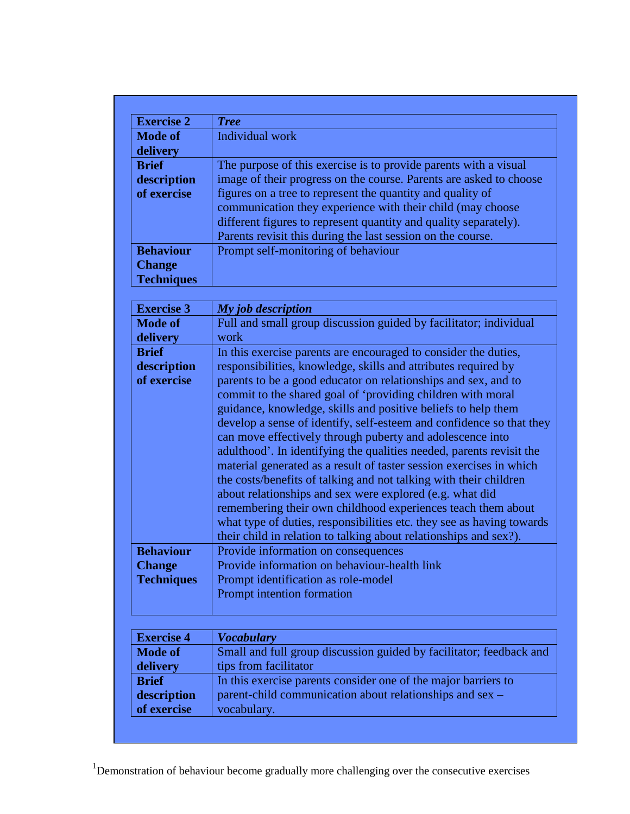| <b>Exercise 2</b> | <b>Tree</b>                                                        |
|-------------------|--------------------------------------------------------------------|
| <b>Mode of</b>    | Individual work                                                    |
| delivery          |                                                                    |
| <b>Brief</b>      | The purpose of this exercise is to provide parents with a visual   |
| description       | image of their progress on the course. Parents are asked to choose |
| of exercise       | figures on a tree to represent the quantity and quality of         |
|                   | communication they experience with their child (may choose         |
|                   | different figures to represent quantity and quality separately).   |
|                   | Parents revisit this during the last session on the course.        |
| <b>Behaviour</b>  | Prompt self-monitoring of behaviour                                |
| <b>Change</b>     |                                                                    |
| <b>Techniques</b> |                                                                    |

| <b>Exercise 3</b> | My job description                                                    |
|-------------------|-----------------------------------------------------------------------|
| <b>Mode of</b>    | Full and small group discussion guided by facilitator; individual     |
| delivery          | work                                                                  |
| <b>Brief</b>      | In this exercise parents are encouraged to consider the duties,       |
| description       | responsibilities, knowledge, skills and attributes required by        |
| of exercise       | parents to be a good educator on relationships and sex, and to        |
|                   | commit to the shared goal of 'providing children with moral           |
|                   | guidance, knowledge, skills and positive beliefs to help them         |
|                   | develop a sense of identify, self-esteem and confidence so that they  |
|                   | can move effectively through puberty and adolescence into             |
|                   | adulthood'. In identifying the qualities needed, parents revisit the  |
|                   | material generated as a result of taster session exercises in which   |
|                   | the costs/benefits of talking and not talking with their children     |
|                   | about relationships and sex were explored (e.g. what did              |
|                   | remembering their own childhood experiences teach them about          |
|                   | what type of duties, responsibilities etc. they see as having towards |
|                   | their child in relation to talking about relationships and sex?).     |
| <b>Behaviour</b>  | Provide information on consequences                                   |
| <b>Change</b>     | Provide information on behaviour-health link                          |
| <b>Techniques</b> | Prompt identification as role-model                                   |
|                   | Prompt intention formation                                            |
|                   |                                                                       |

| <b>Exercise 4</b> | <b>Vocabulary</b>                                                   |
|-------------------|---------------------------------------------------------------------|
| <b>Mode of</b>    | Small and full group discussion guided by facilitator; feedback and |
| delivery          | tips from facilitator                                               |
| <b>Brief</b>      | In this exercise parents consider one of the major barriers to      |
| description       | parent-child communication about relationships and sex –            |
| of exercise       | vocabulary.                                                         |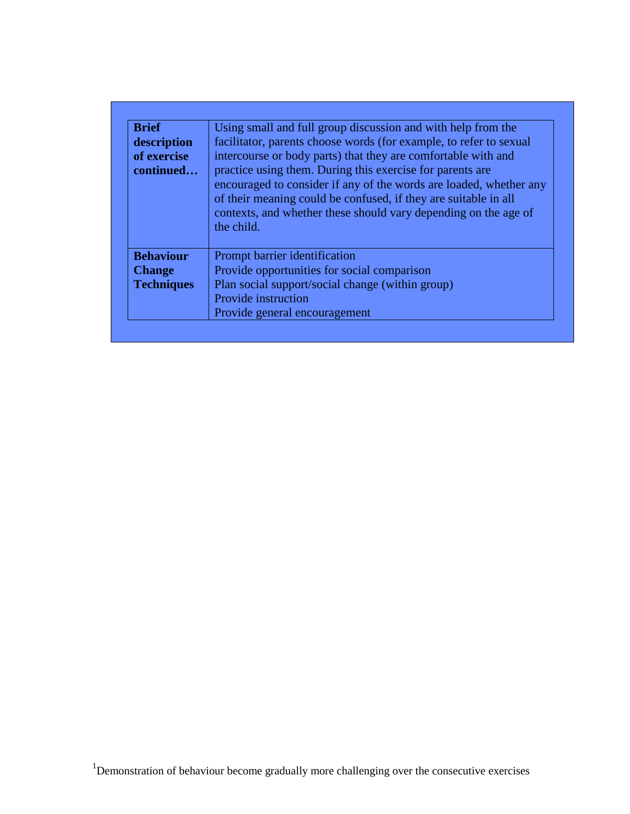| <b>Brief</b>                            | Using small and full group discussion and with help from the                                                                                                                                                                                                                                                                                                                                                               |
|-----------------------------------------|----------------------------------------------------------------------------------------------------------------------------------------------------------------------------------------------------------------------------------------------------------------------------------------------------------------------------------------------------------------------------------------------------------------------------|
| description<br>of exercise<br>continued | facilitator, parents choose words (for example, to refer to sexual<br>intercourse or body parts) that they are comfortable with and<br>practice using them. During this exercise for parents are<br>encouraged to consider if any of the words are loaded, whether any<br>of their meaning could be confused, if they are suitable in all<br>contexts, and whether these should vary depending on the age of<br>the child. |
| <b>Behaviour</b>                        | Prompt barrier identification                                                                                                                                                                                                                                                                                                                                                                                              |
| <b>Change</b>                           | Provide opportunities for social comparison                                                                                                                                                                                                                                                                                                                                                                                |
| <b>Techniques</b>                       | Plan social support/social change (within group)                                                                                                                                                                                                                                                                                                                                                                           |
|                                         | Provide instruction                                                                                                                                                                                                                                                                                                                                                                                                        |
|                                         | Provide general encouragement                                                                                                                                                                                                                                                                                                                                                                                              |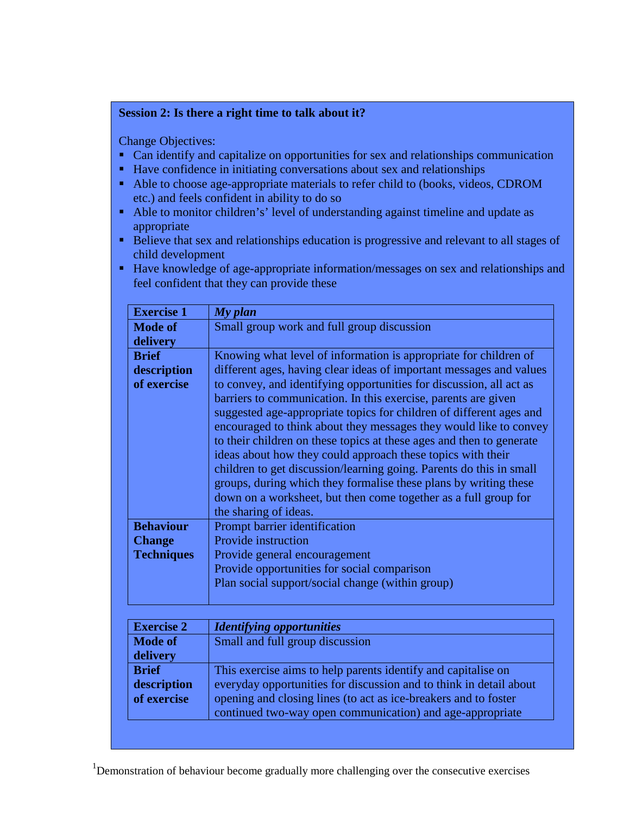#### **Session 2: Is there a right time to talk about it?**

Change Objectives:

- Can identify and capitalize on opportunities for sex and relationships communication
- Have confidence in initiating conversations about sex and relationships
- Able to choose age-appropriate materials to refer child to (books, videos, CDROM etc.) and feels confident in ability to do so
- Able to monitor children's' level of understanding against timeline and update as appropriate
- Believe that sex and relationships education is progressive and relevant to all stages of child development
- Have knowledge of age-appropriate information/messages on sex and relationships and feel confident that they can provide these

| <b>Exercise 1</b> | My plan                                                              |
|-------------------|----------------------------------------------------------------------|
| <b>Mode of</b>    | Small group work and full group discussion                           |
| delivery          |                                                                      |
| <b>Brief</b>      | Knowing what level of information is appropriate for children of     |
| description       | different ages, having clear ideas of important messages and values  |
| of exercise       | to convey, and identifying opportunities for discussion, all act as  |
|                   | barriers to communication. In this exercise, parents are given       |
|                   | suggested age-appropriate topics for children of different ages and  |
|                   | encouraged to think about they messages they would like to convey    |
|                   | to their children on these topics at these ages and then to generate |
|                   | ideas about how they could approach these topics with their          |
|                   | children to get discussion/learning going. Parents do this in small  |
|                   | groups, during which they formalise these plans by writing these     |
|                   | down on a worksheet, but then come together as a full group for      |
|                   | the sharing of ideas.                                                |
| <b>Behaviour</b>  | Prompt barrier identification                                        |
| <b>Change</b>     | Provide instruction                                                  |
| <b>Techniques</b> | Provide general encouragement                                        |
|                   | Provide opportunities for social comparison                          |
|                   | Plan social support/social change (within group)                     |
|                   |                                                                      |
|                   |                                                                      |

| <b>Exercise 2</b> | <b>Identifying opportunities</b>                                   |
|-------------------|--------------------------------------------------------------------|
| <b>Mode of</b>    | Small and full group discussion                                    |
| delivery          |                                                                    |
| <b>Brief</b>      | This exercise aims to help parents identify and capitalise on      |
| description       | everyday opportunities for discussion and to think in detail about |
| of exercise       | opening and closing lines (to act as ice-breakers and to foster    |
|                   | continued two-way open communication) and age-appropriate          |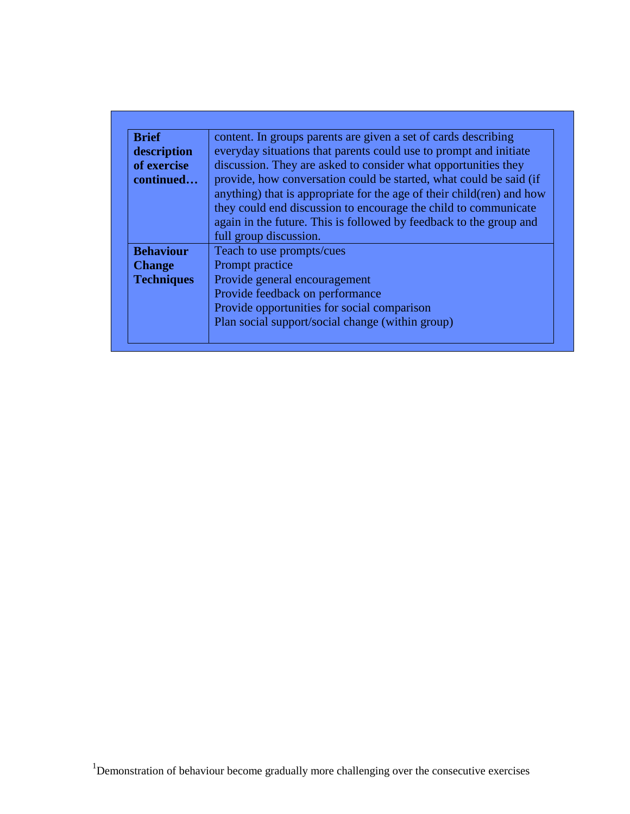| <b>Brief</b>      | content. In groups parents are given a set of cards describing         |
|-------------------|------------------------------------------------------------------------|
| description       | everyday situations that parents could use to prompt and initiate      |
| of exercise       | discussion. They are asked to consider what opportunities they         |
| continued         | provide, how conversation could be started, what could be said (if     |
|                   | anything) that is appropriate for the age of their child (ren) and how |
|                   | they could end discussion to encourage the child to communicate        |
|                   | again in the future. This is followed by feedback to the group and     |
|                   | full group discussion.                                                 |
| <b>Behaviour</b>  | Teach to use prompts/cues                                              |
| <b>Change</b>     | Prompt practice                                                        |
| <b>Techniques</b> | Provide general encouragement                                          |
|                   | Provide feedback on performance                                        |
|                   | Provide opportunities for social comparison                            |
|                   | Plan social support/social change (within group)                       |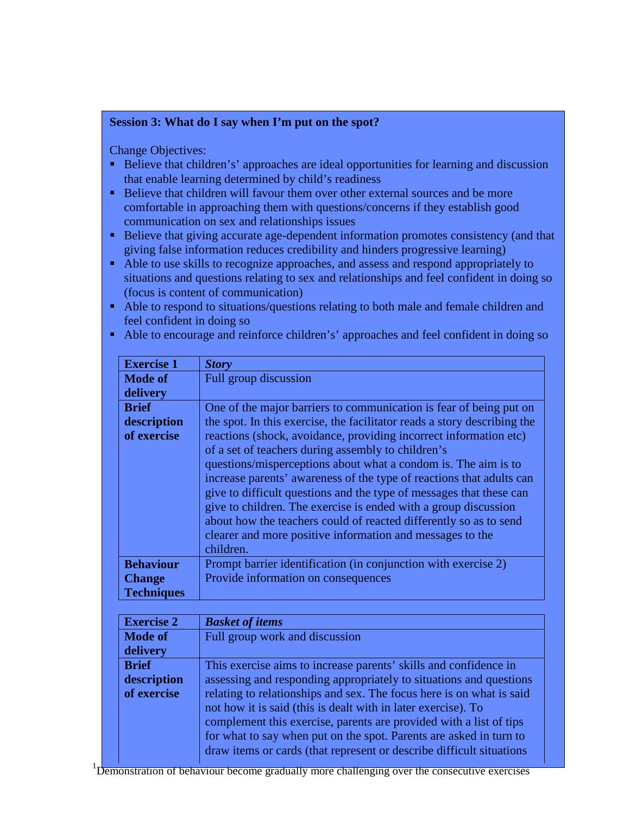## **Session 3: What do I say when I'm put on the spot?**

Change Objectives:

- Believe that children's' approaches are ideal opportunities for learning and discussion that enable learning determined by child's readiness
- Believe that children will favour them over other external sources and be more comfortable in approaching them with questions/concerns if they establish good communication on sex and relationships issues
- Believe that giving accurate age-dependent information promotes consistency (and that giving false information reduces credibility and hinders progressive learning)
- Able to use skills to recognize approaches, and assess and respond appropriately to situations and questions relating to sex and relationships and feel confident in doing so (focus is content of communication)
- Able to respond to situations/questions relating to both male and female children and feel confident in doing so

| <b>Exercise 1</b> | <b>Story</b>                                                             |
|-------------------|--------------------------------------------------------------------------|
| <b>Mode of</b>    | Full group discussion                                                    |
| delivery          |                                                                          |
| <b>Brief</b>      | One of the major barriers to communication is fear of being put on       |
| description       | the spot. In this exercise, the facilitator reads a story describing the |
| of exercise       | reactions (shock, avoidance, providing incorrect information etc)        |
|                   | of a set of teachers during assembly to children's                       |
|                   | questions/misperceptions about what a condom is. The aim is to           |
|                   | increase parents' awareness of the type of reactions that adults can     |
|                   | give to difficult questions and the type of messages that these can      |
|                   | give to children. The exercise is ended with a group discussion          |
|                   | about how the teachers could of reacted differently so as to send        |
|                   | clearer and more positive information and messages to the                |
|                   | children.                                                                |
| <b>Behaviour</b>  | Prompt barrier identification (in conjunction with exercise 2)           |
| <b>Change</b>     | Provide information on consequences                                      |
| <b>Techniques</b> |                                                                          |

Able to encourage and reinforce children's' approaches and feel confident in doing so

| <b>Exercise 2</b> | <b>Basket of items</b>                                                                                                                                                                                                                                                                                                                                     |
|-------------------|------------------------------------------------------------------------------------------------------------------------------------------------------------------------------------------------------------------------------------------------------------------------------------------------------------------------------------------------------------|
| <b>Mode of</b>    | Full group work and discussion                                                                                                                                                                                                                                                                                                                             |
| delivery          |                                                                                                                                                                                                                                                                                                                                                            |
| <b>Brief</b>      | This exercise aims to increase parents' skills and confidence in                                                                                                                                                                                                                                                                                           |
| description       | assessing and responding appropriately to situations and questions                                                                                                                                                                                                                                                                                         |
| of exercise       | relating to relationships and sex. The focus here is on what is said<br>not how it is said (this is dealt with in later exercise). To<br>complement this exercise, parents are provided with a list of tips<br>for what to say when put on the spot. Parents are asked in turn to<br>draw items or cards (that represent or describe difficult situations) |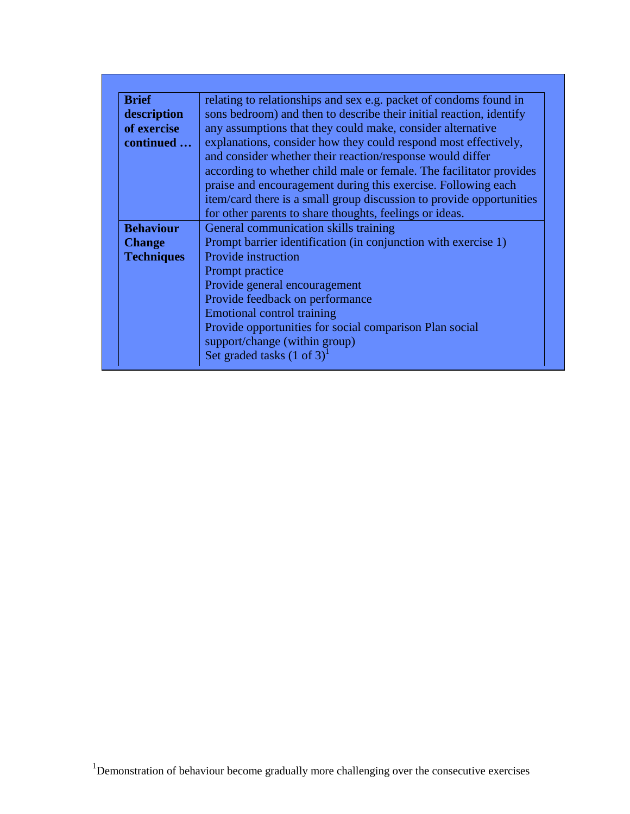| <b>Brief</b>      | relating to relationships and sex e.g. packet of condoms found in    |
|-------------------|----------------------------------------------------------------------|
| description       | sons bedroom) and then to describe their initial reaction, identify  |
| of exercise       | any assumptions that they could make, consider alternative           |
| continued         | explanations, consider how they could respond most effectively,      |
|                   | and consider whether their reaction/response would differ            |
|                   | according to whether child male or female. The facilitator provides  |
|                   | praise and encouragement during this exercise. Following each        |
|                   | item/card there is a small group discussion to provide opportunities |
|                   | for other parents to share thoughts, feelings or ideas.              |
| <b>Behaviour</b>  | General communication skills training                                |
| <b>Change</b>     | Prompt barrier identification (in conjunction with exercise 1)       |
| <b>Techniques</b> | Provide instruction                                                  |
|                   | Prompt practice                                                      |
|                   | Provide general encouragement                                        |
|                   | Provide feedback on performance                                      |
|                   | Emotional control training                                           |
|                   | Provide opportunities for social comparison Plan social              |
|                   | support/change (within group)                                        |
|                   | Set graded tasks $(1 \text{ of } 3)^1$                               |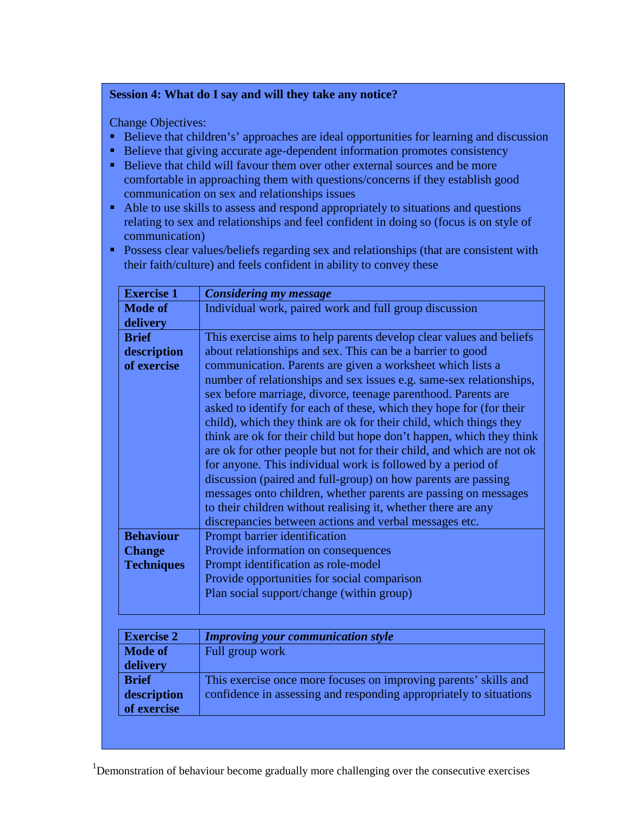## **Session 4: What do I say and will they take any notice?**

Change Objectives:

- Believe that children's' approaches are ideal opportunities for learning and discussion
- Believe that giving accurate age-dependent information promotes consistency
- Believe that child will favour them over other external sources and be more comfortable in approaching them with questions/concerns if they establish good communication on sex and relationships issues
- Able to use skills to assess and respond appropriately to situations and questions relating to sex and relationships and feel confident in doing so (focus is on style of communication)
- **Possess clear values/beliefs regarding sex and relationships (that are consistent with** their faith/culture) and feels confident in ability to convey these

| <b>Exercise 1</b> | <b>Considering my message</b>                                         |
|-------------------|-----------------------------------------------------------------------|
| <b>Mode of</b>    | Individual work, paired work and full group discussion                |
| delivery          |                                                                       |
| <b>Brief</b>      | This exercise aims to help parents develop clear values and beliefs   |
| description       | about relationships and sex. This can be a barrier to good            |
| of exercise       | communication. Parents are given a worksheet which lists a            |
|                   | number of relationships and sex issues e.g. same-sex relationships,   |
|                   | sex before marriage, divorce, teenage parenthood. Parents are         |
|                   | asked to identify for each of these, which they hope for (for their   |
|                   | child), which they think are ok for their child, which things they    |
|                   | think are ok for their child but hope don't happen, which they think  |
|                   | are ok for other people but not for their child, and which are not ok |
|                   | for anyone. This individual work is followed by a period of           |
|                   | discussion (paired and full-group) on how parents are passing         |
|                   | messages onto children, whether parents are passing on messages       |
|                   | to their children without realising it, whether there are any         |
|                   | discrepancies between actions and verbal messages etc.                |
| <b>Behaviour</b>  | Prompt barrier identification                                         |
| <b>Change</b>     | Provide information on consequences                                   |
| <b>Techniques</b> | Prompt identification as role-model                                   |
|                   | Provide opportunities for social comparison                           |
|                   | Plan social support/change (within group)                             |
|                   |                                                                       |

| <b>Exercise 2</b> | <b>Improving your communication style</b>                          |
|-------------------|--------------------------------------------------------------------|
| <b>Mode of</b>    | Full group work                                                    |
| delivery          |                                                                    |
| <b>Brief</b>      | This exercise once more focuses on improving parents' skills and   |
| description       | confidence in assessing and responding appropriately to situations |
| of exercise       |                                                                    |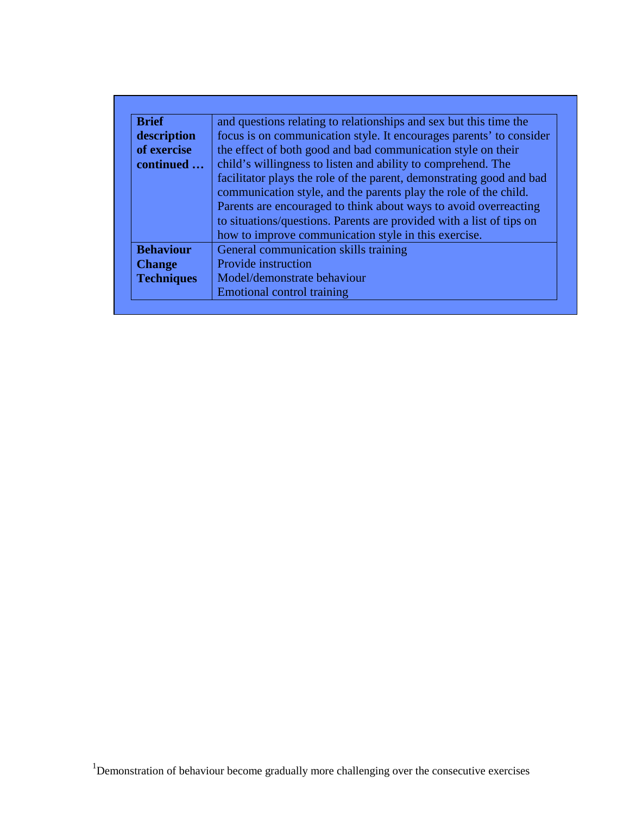| <b>Brief</b>      | and questions relating to relationships and sex but this time the                                                                                                                                                                                                                    |
|-------------------|--------------------------------------------------------------------------------------------------------------------------------------------------------------------------------------------------------------------------------------------------------------------------------------|
| description       | focus is on communication style. It encourages parents' to consider                                                                                                                                                                                                                  |
| of exercise       | the effect of both good and bad communication style on their                                                                                                                                                                                                                         |
| continued         | child's willingness to listen and ability to comprehend. The                                                                                                                                                                                                                         |
|                   | facilitator plays the role of the parent, demonstrating good and bad<br>communication style, and the parents play the role of the child.<br>Parents are encouraged to think about ways to avoid overreacting<br>to situations/questions. Parents are provided with a list of tips on |
| <b>Behaviour</b>  | how to improve communication style in this exercise.<br>General communication skills training                                                                                                                                                                                        |
|                   | Provide instruction                                                                                                                                                                                                                                                                  |
| <b>Change</b>     |                                                                                                                                                                                                                                                                                      |
| <b>Techniques</b> | Model/demonstrate behaviour                                                                                                                                                                                                                                                          |
|                   | Emotional control training                                                                                                                                                                                                                                                           |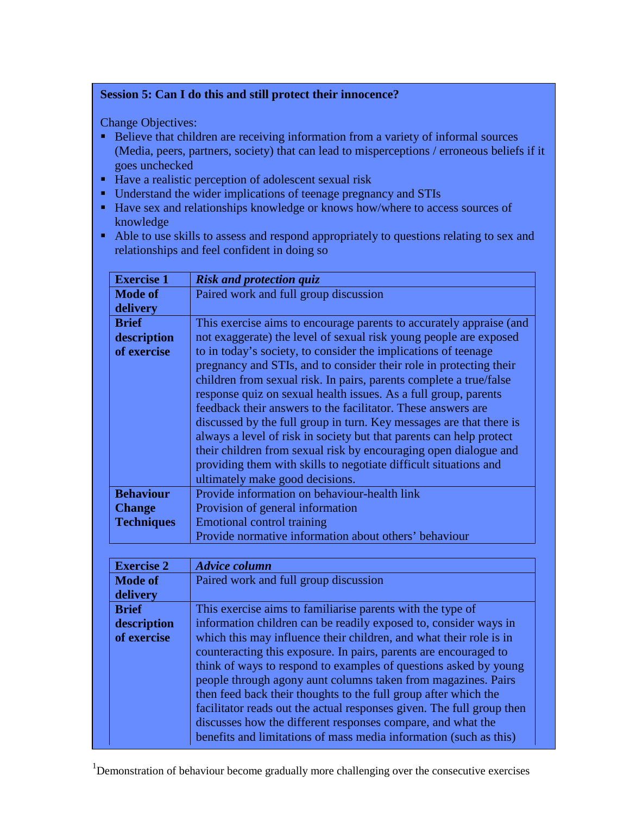# **Session 5: Can I do this and still protect their innocence?**

Change Objectives:

- Believe that children are receiving information from a variety of informal sources (Media, peers, partners, society) that can lead to misperceptions / erroneous beliefs if it goes unchecked
- Have a realistic perception of adolescent sexual risk
- Understand the wider implications of teenage pregnancy and STIs
- Have sex and relationships knowledge or knows how/where to access sources of knowledge
- Able to use skills to assess and respond appropriately to questions relating to sex and relationships and feel confident in doing so

| <b>Exercise 1</b> | <b>Risk and protection quiz</b>                                     |
|-------------------|---------------------------------------------------------------------|
| <b>Mode of</b>    | Paired work and full group discussion                               |
| delivery          |                                                                     |
| <b>Brief</b>      | This exercise aims to encourage parents to accurately appraise (and |
| description       | not exaggerate) the level of sexual risk young people are exposed   |
| of exercise       | to in today's society, to consider the implications of teenage      |
|                   | pregnancy and STIs, and to consider their role in protecting their  |
|                   | children from sexual risk. In pairs, parents complete a true/false  |
|                   | response quiz on sexual health issues. As a full group, parents     |
|                   | feedback their answers to the facilitator. These answers are        |
|                   | discussed by the full group in turn. Key messages are that there is |
|                   | always a level of risk in society but that parents can help protect |
|                   | their children from sexual risk by encouraging open dialogue and    |
|                   | providing them with skills to negotiate difficult situations and    |
|                   | ultimately make good decisions.                                     |
| <b>Behaviour</b>  | Provide information on behaviour-health link                        |
| <b>Change</b>     | Provision of general information                                    |
| <b>Techniques</b> | <b>Emotional control training</b>                                   |
|                   | Provide normative information about others' behaviour               |

| <b>Exercise 2</b> | <b>Advice column</b>                                                  |
|-------------------|-----------------------------------------------------------------------|
| <b>Mode of</b>    | Paired work and full group discussion                                 |
| delivery          |                                                                       |
| <b>Brief</b>      | This exercise aims to familiarise parents with the type of            |
| description       | information children can be readily exposed to, consider ways in      |
| of exercise       | which this may influence their children, and what their role is in    |
|                   | counteracting this exposure. In pairs, parents are encouraged to      |
|                   | think of ways to respond to examples of questions asked by young      |
|                   | people through agony aunt columns taken from magazines. Pairs         |
|                   | then feed back their thoughts to the full group after which the       |
|                   | facilitator reads out the actual responses given. The full group then |
|                   | discusses how the different responses compare, and what the           |
|                   | benefits and limitations of mass media information (such as this)     |
|                   |                                                                       |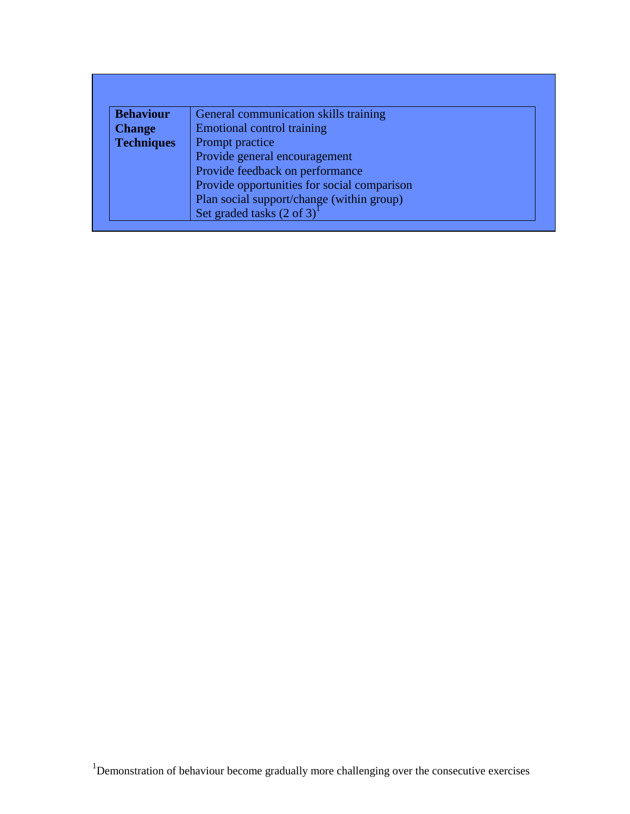| <b>Behaviour</b>  | General communication skills training       |  |
|-------------------|---------------------------------------------|--|
| <b>Change</b>     | <b>Emotional control training</b>           |  |
| <b>Techniques</b> | Prompt practice                             |  |
|                   | Provide general encouragement               |  |
|                   | Provide feedback on performance             |  |
|                   | Provide opportunities for social comparison |  |
|                   | Plan social support/change (within group)   |  |
|                   | Set graded tasks (2 of 3)                   |  |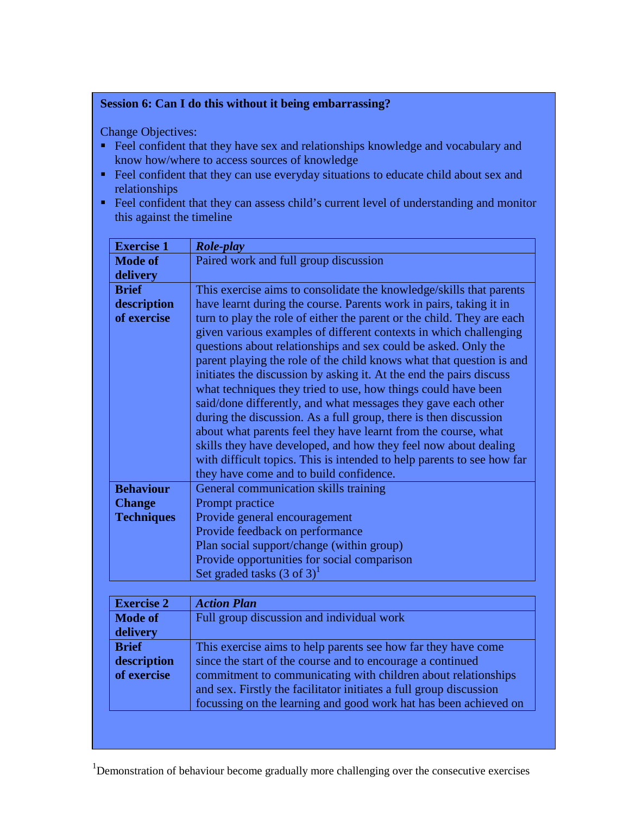# **Session 6: Can I do this without it being embarrassing?**

Change Objectives:

- Feel confident that they have sex and relationships knowledge and vocabulary and know how/where to access sources of knowledge
- Feel confident that they can use everyday situations to educate child about sex and relationships
- Feel confident that they can assess child's current level of understanding and monitor this against the timeline

| <b>Exercise 1</b> | <b>Role-play</b>                                                       |
|-------------------|------------------------------------------------------------------------|
| <b>Mode of</b>    | Paired work and full group discussion                                  |
| delivery          |                                                                        |
| <b>Brief</b>      | This exercise aims to consolidate the knowledge/skills that parents    |
| description       | have learnt during the course. Parents work in pairs, taking it in     |
| of exercise       | turn to play the role of either the parent or the child. They are each |
|                   | given various examples of different contexts in which challenging      |
|                   | questions about relationships and sex could be asked. Only the         |
|                   | parent playing the role of the child knows what that question is and   |
|                   | initiates the discussion by asking it. At the end the pairs discuss    |
|                   | what techniques they tried to use, how things could have been          |
|                   | said/done differently, and what messages they gave each other          |
|                   | during the discussion. As a full group, there is then discussion       |
|                   | about what parents feel they have learnt from the course, what         |
|                   | skills they have developed, and how they feel now about dealing        |
|                   | with difficult topics. This is intended to help parents to see how far |
|                   | they have come and to build confidence.                                |
| <b>Behaviour</b>  | General communication skills training                                  |
| <b>Change</b>     | Prompt practice                                                        |
| <b>Techniques</b> | Provide general encouragement                                          |
|                   | Provide feedback on performance                                        |
|                   | Plan social support/change (within group)                              |
|                   | Provide opportunities for social comparison                            |
|                   | Set graded tasks $(3 \text{ of } 3)^1$                                 |

| <b>Exercise 2</b> | <b>Action Plan</b>                                                 |
|-------------------|--------------------------------------------------------------------|
| <b>Mode of</b>    | Full group discussion and individual work                          |
| delivery          |                                                                    |
| <b>Brief</b>      | This exercise aims to help parents see how far they have come      |
| description       | since the start of the course and to encourage a continued         |
| of exercise       | commitment to communicating with children about relationships      |
|                   | and sex. Firstly the facilitator initiates a full group discussion |
|                   | focussing on the learning and good work hat has been achieved on   |